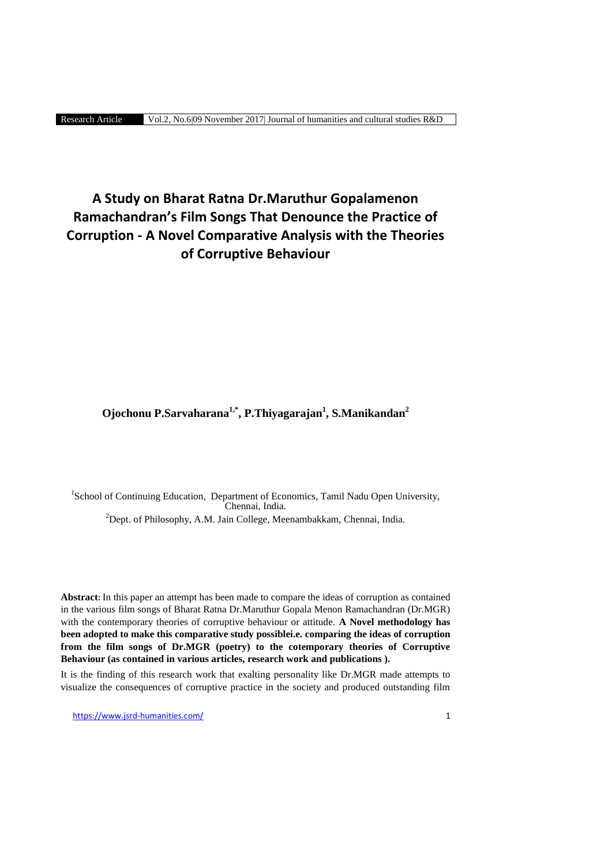# **A Study on Bharat Ratna Dr.Maruthur Gopalamenon Ramachandran's Film Songs That Denounce the Practice of Corruption - A Novel Comparative Analysis with the Theories of Corruptive Behaviour**

**Ojochonu P.Sarvaharana1,\*, P.Thiyagarajan<sup>1</sup> , S.Manikandan<sup>2</sup>**

<sup>1</sup>School of Continuing Education, Department of Economics, Tamil Nadu Open University, Chennai, India. <sup>2</sup>Dept. of Philosophy, A.M. Jain College, Meenambakkam, Chennai, India.

**Abstract:** In this paper an attempt has been made to compare the ideas of corruption as contained in the various film songs of Bharat Ratna Dr.Maruthur Gopala Menon Ramachandran (Dr.MGR) with the contemporary theories of corruptive behaviour or attitude. **A Novel methodology has been adopted to make this comparative study possiblei.e. comparing the ideas of corruption from the film songs of Dr.MGR (poetry) to the cotemporary theories of Corruptive Behaviour (as contained in various articles, research work and publications ).**

It is the finding of this research work that exalting personality like Dr.MGR made attempts to visualize the consequences of corruptive practice in the society and produced outstanding film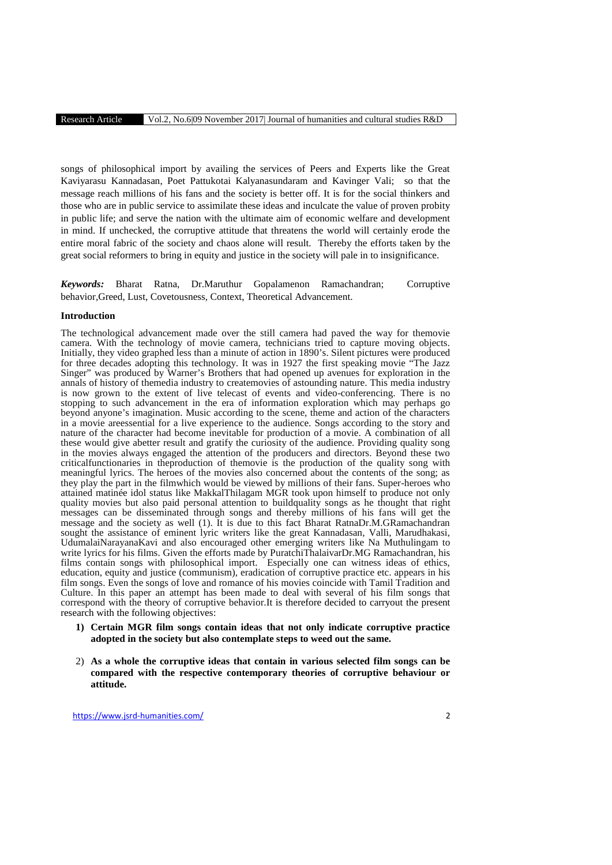songs of philosophical import by availing the services of Peers and Experts like the Great Kaviyarasu Kannadasan, Poet Pattukotai Kalyanasundaram and Kavinger Vali; so that the message reach millions of his fans and the society is better off. It is for the social thinkers and those who are in public service to assimilate these ideas and inculcate the value of proven probity in public life; and serve the nation with the ultimate aim of economic welfare and development in mind. If unchecked, the corruptive attitude that threatens the world will certainly erode the entire moral fabric of the society and chaos alone will result. Thereby the efforts taken by the great social reformers to bring in equity and justice in the society will pale in to insignificance.

*Keywords:* Bharat Ratna, Dr.Maruthur Gopalamenon Ramachandran; Corruptive behavior,Greed, Lust, Covetousness, Context, Theoretical Advancement.

#### **Introduction**

The technological advancement made over the still camera had paved the way for themovie camera. With the technology of movie camera, technicians tried to capture moving objects. Initially, they video graphed less than a minute of action in 1890's. Silent pictures were produced for three decades adopting this technology. It was in 1927 the first speaking movie "The Jazz Singer" was produced by Warner's Brothers that had opened up avenues for exploration in the annals of history of themedia industry to createmovies of astounding nature. This media industry is now grown to the extent of live telecast of events and video-conferencing. There is no stopping to such advancement in the era of information exploration which may perhaps go beyond anyone's imagination. Music according to the scene, theme and action of the characters in a movie areessential for a live experience to the audience. Songs according to the story and nature of the character had become inevitable for production of a movie. A combination of all these would give abetter result and gratify the curiosity of the audience. Providing quality song in the movies always engaged the attention of the producers and directors. Beyond these two criticalfunctionaries in theproduction of themovie is the production of the quality song with meaningful lyrics. The heroes of the movies also concerned about the contents of the song; as they play the part in the filmwhich would be viewed by millions of their fans. Super-heroes who attained matinée idol status like MakkalThilagam MGR took upon himself to produce not only quality movies but also paid personal attention to buildquality songs as he thought that right messages can be disseminated through songs and thereby millions of his fans will get the message and the society as well (1). It is due to this fact Bharat RatnaDr.M.GRamachandran sought the assistance of eminent lyric writers like the great Kannadasan, Valli, Marudhakasi, UdumalaiNarayanaKavi and also encouraged other emerging writers like Na Muthulingam to write lyrics for his films. Given the efforts made by PuratchiThalaivarDr.MG Ramachandran, his films contain songs with philosophical import. Especially one can witness ideas of ethics, education, equity and justice (communism), eradication of corruptive practice etc. appears in his film songs. Even the songs of love and romance of his movies coincide with Tamil Tradition and Culture. In this paper an attempt has been made to deal with several of his film songs that correspond with the theory of corruptive behavior.It is therefore decided to carryout the present research with the following objectives:

- **1) Certain MGR film songs contain ideas that not only indicate corruptive practice adopted in the society but also contemplate steps to weed out the same.**
- 2) **As a whole the corruptive ideas that contain in various selected film songs can be compared with the respective contemporary theories of corruptive behaviour or attitude.**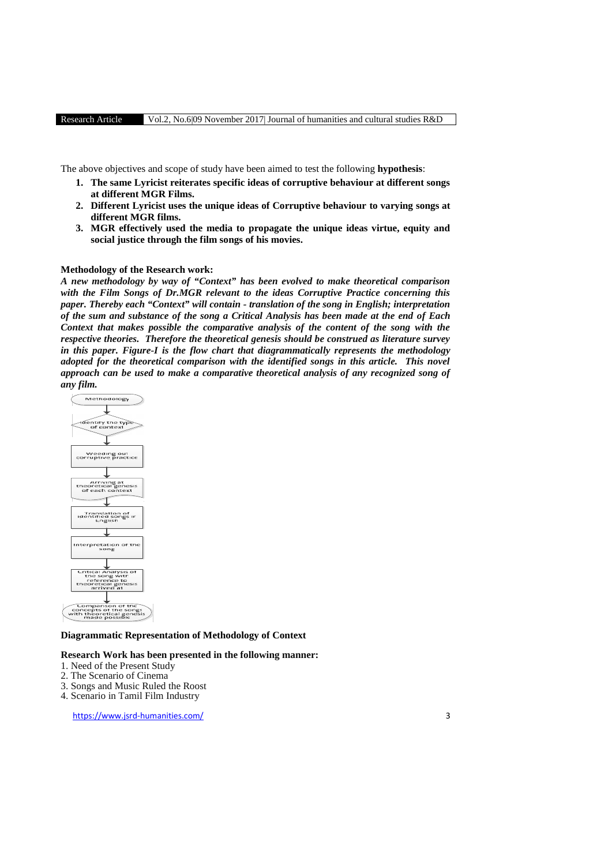The above objectives and scope of study have been aimed to test the following **hypothesis**:

- **1. The same Lyricist reiterates specific ideas of corruptive behaviour at different songs at different MGR Films.**
- **2. Different Lyricist uses the unique ideas of Corruptive behaviour to varying songs at different MGR films.**
- **3. MGR effectively used the media to propagate the unique ideas virtue, equity and social justice through the film songs of his movies.**

#### **Methodology of the Research work:**

*A new methodology by way of "Context" has been evolved to make theoretical comparison with the Film Songs of Dr.MGR relevant to the ideas Corruptive Practice concerning this paper. Thereby each "Context" will contain - translation of the song in English; interpretation of the sum and substance of the song a Critical Analysis has been made at the end of Each Context that makes possible the comparative analysis of the content of the song with the respective theories. Therefore the theoretical genesis should be construed as literature survey in this paper. Figure-I is the flow chart that diagrammatically represents the methodology adopted for the theoretical comparison with the identified songs in this article. This novel approach can be used to make a comparative theoretical analysis of any recognized song of any film.*



**Diagrammatic Representation of Methodology of Context**

#### **Research Work has been presented in the following manner:**

- 1. Need of the Present Study
- 2. The Scenario of Cinema
- 3. Songs and Music Ruled the Roost
- 4. Scenario in Tamil Film Industry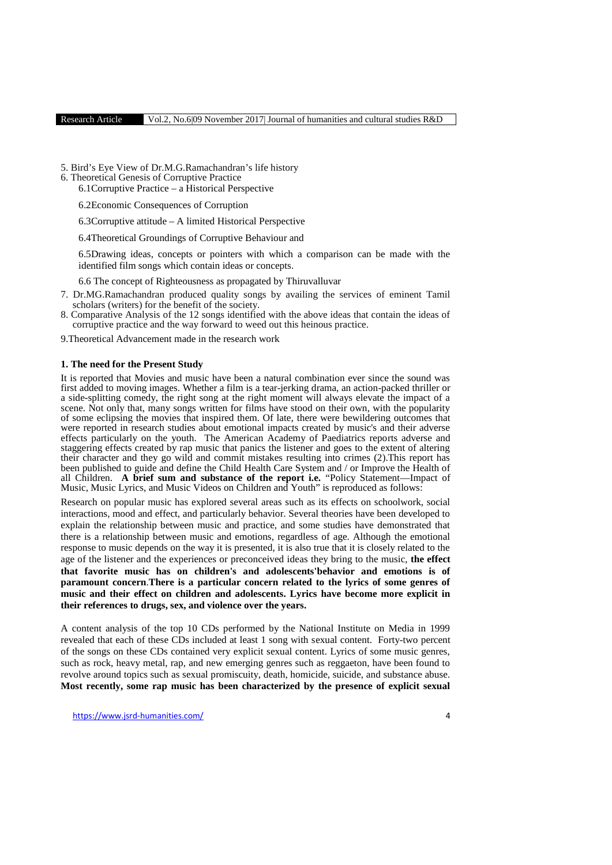- 5. Bird's Eye View of Dr.M.G.Ramachandran's life history
- 6. Theoretical Genesis of Corruptive Practice
	- 6.1Corruptive Practice a Historical Perspective
	- 6.2Economic Consequences of Corruption
	- 6.3Corruptive attitude A limited Historical Perspective
	- 6.4Theoretical Groundings of Corruptive Behaviour and

6.5Drawing ideas, concepts or pointers with which a comparison can be made with the identified film songs which contain ideas or concepts.

6.6 The concept of Righteousness as propagated by Thiruvalluvar

- 7. Dr.MG.Ramachandran produced quality songs by availing the services of eminent Tamil scholars (writers) for the benefit of the society.
- 8. Comparative Analysis of the 12 songs identified with the above ideas that contain the ideas of corruptive practice and the way forward to weed out this heinous practice.
- 9.Theoretical Advancement made in the research work

#### **1. The need for the Present Study**

It is reported that Movies and music have been a natural combination ever since the sound was first added to moving images. Whether a film is a tear-jerking drama, an action-packed thriller or a side-splitting comedy, the right song at the right moment will always elevate the impact of a scene. Not only that, many songs written for films have stood on their own, with the popularity of some eclipsing the movies that inspired them. Of late, there were bewildering outcomes that were reported in research studies about emotional impacts created by music's and their adverse effects particularly on the youth. The American Academy of Paediatrics reports adverse and staggering effects created by rap music that panics the listener and goes to the extent of altering their character and they go wild and commit mistakes resulting into crimes (2).This report has been published to guide and define the Child Health Care System and / or Improve the Health of all Children. **A brief sum and substance of the report i.e.** "Policy Statement—Impact of Music, Music Lyrics, and Music Videos on Children and Youth" is reproduced as follows:

Research on popular music has explored several areas such as its effects on schoolwork, social interactions, mood and effect, and particularly behavior. Several theories have been developed to explain the relationship between music and practice, and some studies have demonstrated that there is a relationship between music and emotions, regardless of age. Although the emotional response to music depends on the way it is presented, it is also true that it is closely related to the age of the listener and the experiences or preconceived ideas they bring to the music, **the effect that favorite music has on children's and adolescents'behavior and emotions is of paramount concern**.**There is a particular concern related to the lyrics of some genres of music and their effect on children and adolescents. Lyrics have become more explicit in their references to drugs, sex, and violence over the years.**

A content analysis of the top 10 CDs performed by the National Institute on Media in 1999 revealed that each of these CDs included at least 1 song with sexual content. Forty-two percent of the songs on these CDs contained very explicit sexual content. Lyrics of some music genres, such as rock, heavy metal, rap, and new emerging genres such as reggaeton, have been found to revolve around topics such as sexual promiscuity, death, homicide, suicide, and substance abuse. **Most recently, some rap music has been characterized by the presence of explicit sexual**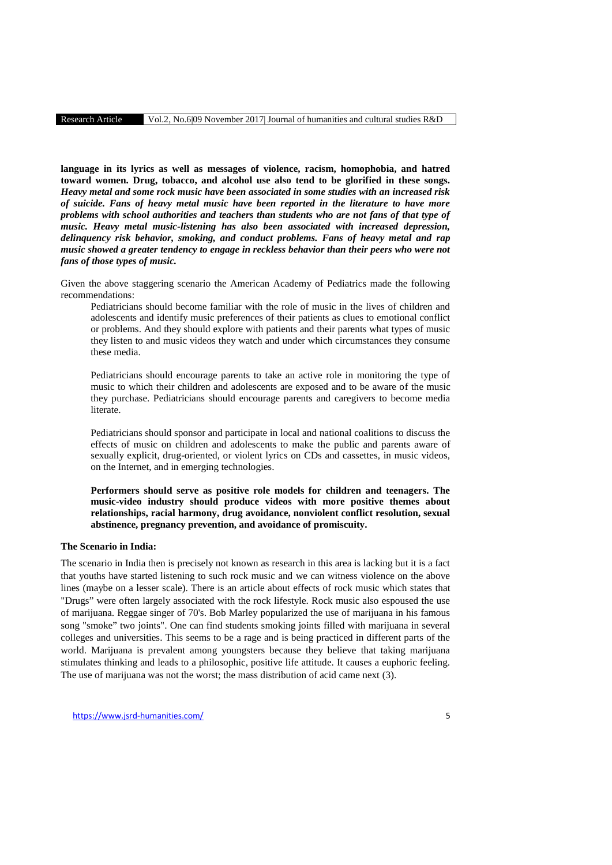**language in its lyrics as well as messages of violence, racism, homophobia, and hatred toward women. Drug, tobacco, and alcohol use also tend to be glorified in these songs.** *Heavy metal and some rock music have been associated in some studies with an increased risk of suicide. Fans of heavy metal music have been reported in the literature to have more problems with school authorities and teachers than students who are not fans of that type of music. Heavy metal music-listening has also been associated with increased depression, delinquency risk behavior, smoking, and conduct problems. Fans of heavy metal and rap music showed a greater tendency to engage in reckless behavior than their peers who were not fans of those types of music.*

Given the above staggering scenario the American Academy of Pediatrics made the following recommendations:

Pediatricians should become familiar with the role of music in the lives of children and adolescents and identify music preferences of their patients as clues to emotional conflict or problems. And they should explore with patients and their parents what types of music they listen to and music videos they watch and under which circumstances they consume these media.

Pediatricians should encourage parents to take an active role in monitoring the type of music to which their children and adolescents are exposed and to be aware of the music they purchase. Pediatricians should encourage parents and caregivers to become media literate.

Pediatricians should sponsor and participate in local and national coalitions to discuss the effects of music on children and adolescents to make the public and parents aware of sexually explicit, drug-oriented, or violent lyrics on CDs and cassettes, in music videos, on the Internet, and in emerging technologies.

**Performers should serve as positive role models for children and teenagers. The music-video industry should produce videos with more positive themes about relationships, racial harmony, drug avoidance, nonviolent conflict resolution, sexual abstinence, pregnancy prevention, and avoidance of promiscuity.**

#### **The Scenario in India:**

The scenario in India then is precisely not known as research in this area is lacking but it is a fact that youths have started listening to such rock music and we can witness violence on the above lines (maybe on a lesser scale). There is an article about effects of rock music which states that "Drugs" were often largely associated with the rock lifestyle. Rock music also espoused the use of marijuana. Reggae singer of 70's. Bob Marley popularized the use of marijuana in his famous song "smoke" two joints". One can find students smoking joints filled with marijuana in several colleges and universities. This seems to be a rage and is being practiced in different parts of the world. Marijuana is prevalent among youngsters because they believe that taking marijuana stimulates thinking and leads to a philosophic, positive life attitude. It causes a euphoric feeling. The use of marijuana was not the worst; the mass distribution of acid came next (3).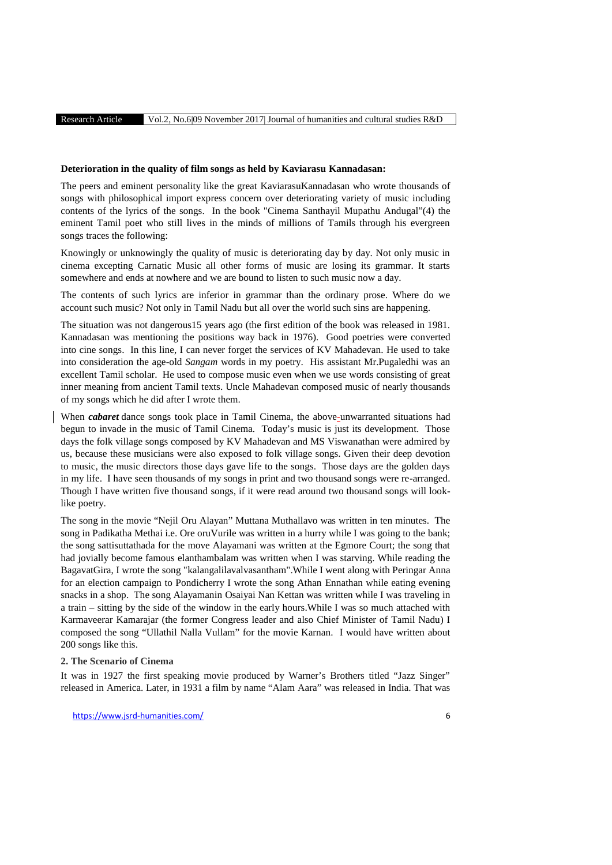#### **Deterioration in the quality of film songs as held by Kaviarasu Kannadasan:**

The peers and eminent personality like the great KaviarasuKannadasan who wrote thousands of songs with philosophical import express concern over deteriorating variety of music including contents of the lyrics of the songs. In the book "Cinema Santhayil Mupathu Andugal"(4) the eminent Tamil poet who still lives in the minds of millions of Tamils through his evergreen songs traces the following:

Knowingly or unknowingly the quality of music is deteriorating day by day. Not only music in cinema excepting Carnatic Music all other forms of music are losing its grammar. It starts somewhere and ends at nowhere and we are bound to listen to such music now a day.

The contents of such lyrics are inferior in grammar than the ordinary prose. Where do we account such music? Not only in Tamil Nadu but all over the world such sins are happening.

The situation was not dangerous15 years ago (the first edition of the book was released in 1981. Kannadasan was mentioning the positions way back in 1976). Good poetries were converted into cine songs. In this line, I can never forget the services of KV Mahadevan. He used to take into consideration the age-old *Sangam* words in my poetry. His assistant Mr.Pugaledhi was an excellent Tamil scholar. He used to compose music even when we use words consisting of great inner meaning from ancient Tamil texts. Uncle Mahadevan composed music of nearly thousands of my songs which he did after I wrote them.

When *cabaret* dance songs took place in Tamil Cinema, the above-unwarranted situations had begun to invade in the music of Tamil Cinema. Today's music is just its development. Those days the folk village songs composed by KV Mahadevan and MS Viswanathan were admired by us, because these musicians were also exposed to folk village songs. Given their deep devotion to music, the music directors those days gave life to the songs. Those days are the golden days in my life. I have seen thousands of my songs in print and two thousand songs were re-arranged. Though I have written five thousand songs, if it were read around two thousand songs will looklike poetry.

The song in the movie "Nejil Oru Alayan" Muttana Muthallavo was written in ten minutes. The song in Padikatha Methai i.e. Ore oruVurile was written in a hurry while I was going to the bank; the song sattisuttathada for the move Alayamani was written at the Egmore Court; the song that had jovially become famous elanthambalam was written when I was starving. While reading the BagavatGira, I wrote the song "kalangalilavalvasantham".While I went along with Peringar Anna for an election campaign to Pondicherry I wrote the song Athan Ennathan while eating evening snacks in a shop. The song Alayamanin Osaiyai Nan Kettan was written while I was traveling in a train – sitting by the side of the window in the early hours.While I was so much attached with Karmaveerar Kamarajar (the former Congress leader and also Chief Minister of Tamil Nadu) I composed the song "Ullathil Nalla Vullam" for the movie Karnan. I would have written about 200 songs like this.

#### **2. The Scenario of Cinema**

It was in 1927 the first speaking movie produced by Warner's Brothers titled "Jazz Singer" released in America. Later, in 1931 a film by name "Alam Aara" was released in India. That was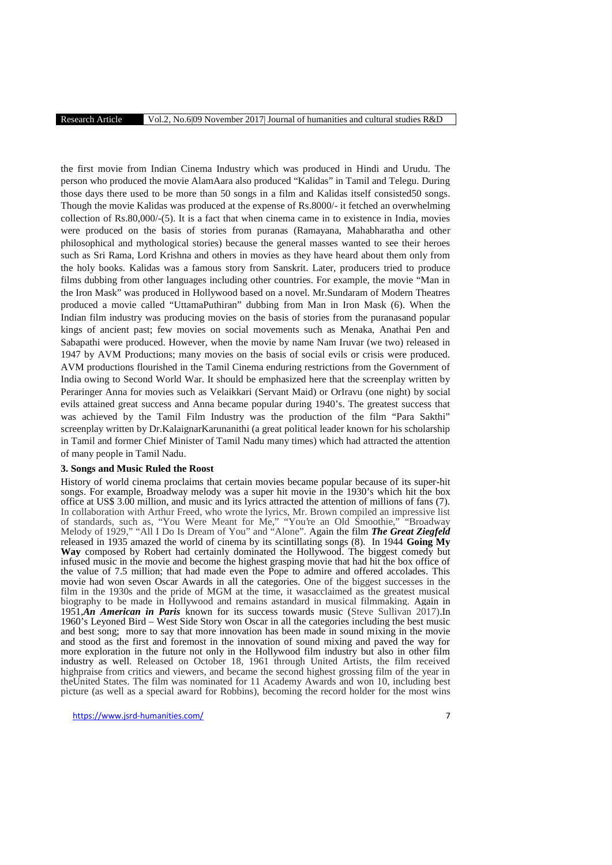the first movie from Indian Cinema Industry which was produced in Hindi and Urudu. The person who produced the movie AlamAara also produced "Kalidas" in Tamil and Telegu. During those days there used to be more than 50 songs in a film and Kalidas itself consisted50 songs. Though the movie Kalidas was produced at the expense of Rs.8000/- it fetched an overwhelming collection of Rs.80,000/-(5). It is a fact that when cinema came in to existence in India, movies were produced on the basis of stories from puranas (Ramayana, Mahabharatha and other philosophical and mythological stories) because the general masses wanted to see their heroes such as Sri Rama, Lord Krishna and others in movies as they have heard about them only from the holy books. Kalidas was a famous story from Sanskrit. Later, producers tried to produce films dubbing from other languages including other countries. For example, the movie "Man in the Iron Mask" was produced in Hollywood based on a novel. Mr.Sundaram of Modern Theatres produced a movie called "UttamaPuthiran" dubbing from Man in Iron Mask (6). When the Indian film industry was producing movies on the basis of stories from the puranasand popular kings of ancient past; few movies on social movements such as Menaka, Anathai Pen and Sabapathi were produced. However, when the movie by name Nam Iruvar (we two) released in 1947 by AVM Productions; many movies on the basis of social evils or crisis were produced. AVM productions flourished in the Tamil Cinema enduring restrictions from the Government of India owing to Second World War. It should be emphasized here that the screenplay written by Peraringer Anna for movies such as Velaikkari (Servant Maid) or OrIravu (one night) by social evils attained great success and Anna became popular during 1940's. The greatest success that was achieved by the Tamil Film Industry was the production of the film "Para Sakthi" screenplay written by Dr.KalaignarKarunanithi (a great political leader known for his scholarship in Tamil and former Chief Minister of Tamil Nadu many times) which had attracted the attention of many people in Tamil Nadu.

#### **3. Songs and Music Ruled the Roost**

History of world cinema proclaims that certain movies became popular because of its super-hit songs. For example, Broadway melody was a super hit movie in the 1930's which hit the box office at US\$ 3.00 million, and music and its lyrics attracted the attention of millions of fans (7). In collaboration with Arthur Freed, who wrote the lyrics, Mr. Brown compiled an impressive list of standards, such as, "You Were Meant for Me," "You're an Old Smoothie," "Broadway Melody of 1929," "All I Do Is Dream of You" and "Alone". Again the film *The Great Ziegfeld* released in 1935 amazed the world of cinema by its scintillating songs (8). In 1944 **Going My Way** composed by Robert had certainly dominated the Hollywood. The biggest comedy but infused music in the movie and become the highest grasping movie that had hit the box office of the value of 7.5 million; that had made even the Pope to admire and offered accolades. This movie had won seven Oscar Awards in all the categories. One of the biggest successes in the film in the 1930s and the pride of MGM at the time, it wasacclaimed as the greatest musical biography to be made in Hollywood and remains astandard in musical filmmaking. Again in 1951,*An American in Paris* known for its success towards music (Steve Sullivan 2017).In 1960's Leyoned Bird – West Side Story won Oscar in all the categories including the best music and best song; more to say that more innovation has been made in sound mixing in the movie and stood as the first and foremost in the innovation of sound mixing and paved the way for more exploration in the future not only in the Hollywood film industry but also in other film industry as well. Released on October 18, 1961 through United Artists, the film received highpraise from critics and viewers, and became the second highest grossing film of the year in theUnited States. The film was nominated for 11 Academy Awards and won 10, including best picture (as well as a special award for Robbins), becoming the record holder for the most wins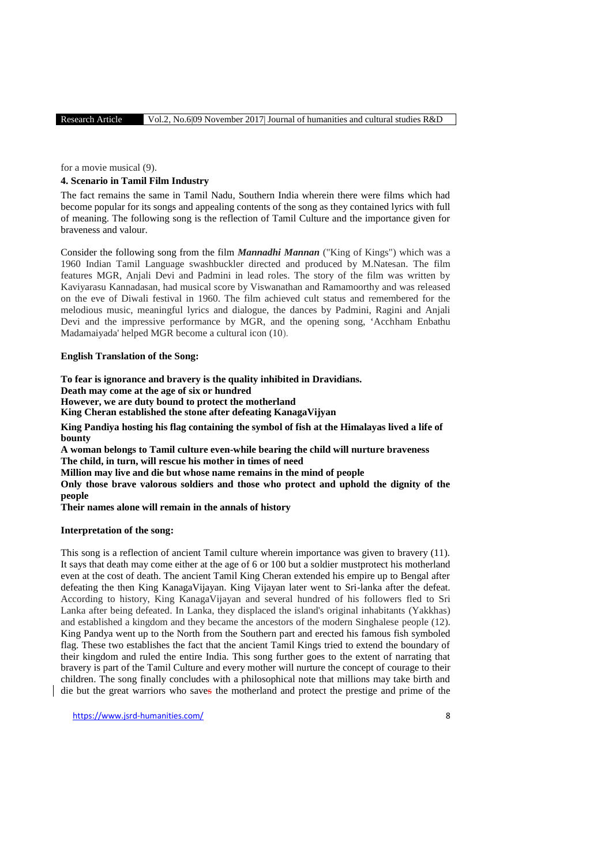### for a movie musical (9). **4. Scenario in Tamil Film Industry**

The fact remains the same in Tamil Nadu, Southern India wherein there were films which had become popular for its songs and appealing contents of the song as they contained lyrics with full of meaning. The following song is the reflection of Tamil Culture and the importance given for braveness and valour.

Consider the following song from the film *Mannadhi Mannan* ("King of Kings") which was a 1960 Indian Tamil Language swashbuckler directed and produced by M.Natesan. The film features MGR, Anjali Devi and Padmini in lead roles. The story of the film was written by Kaviyarasu Kannadasan, had musical score by Viswanathan and Ramamoorthy and was released on the eve of Diwali festival in 1960. The film achieved cult status and remembered for the melodious music, meaningful lyrics and dialogue, the dances by Padmini, Ragini and Anjali Devi and the impressive performance by MGR, and the opening song, 'Acchham Enbathu Madamaiyada' helped MGR become a cultural icon (10).

#### **English Translation of the Song:**

# **To fear is ignorance and bravery is the quality inhibited in Dravidians. Death may come at the age of six or hundred**

**However, we are duty bound to protect the motherland**

**King Cheran established the stone after defeating KanagaVijyan**

**King Pandiya hosting his flag containing the symbol of fish at the Himalayas lived a life of bounty**

**A woman belongs to Tamil culture even-while bearing the child will nurture braveness The child, in turn, will rescue his mother in times of need**

**Million may live and die but whose name remains in the mind of people**

**Only those brave valorous soldiers and those who protect and uphold the dignity of the people**

**Their names alone will remain in the annals of history**

#### **Interpretation of the song:**

This song is a reflection of ancient Tamil culture wherein importance was given to bravery (11). It says that death may come either at the age of 6 or 100 but a soldier mustprotect his motherland even at the cost of death. The ancient Tamil King Cheran extended his empire up to Bengal after defeating the then King KanagaVijayan. King Vijayan later went to Sri-lanka after the defeat. According to history, King KanagaVijayan and several hundred of his followers fled to Sri Lanka after being defeated. In Lanka, they displaced the island's original inhabitants (Yakkhas) and established a kingdom and they became the ancestors of the modern Singhalese people (12). King Pandya went up to the North from the Southern part and erected his famous fish symboled flag. These two establishes the fact that the ancient Tamil Kings tried to extend the boundary of their kingdom and ruled the entire India. This song further goes to the extent of narrating that bravery is part of the Tamil Culture and every mother will nurture the concept of courage to their children. The song finally concludes with a philosophical note that millions may take birth and die but the great warriors who saves the motherland and protect the prestige and prime of the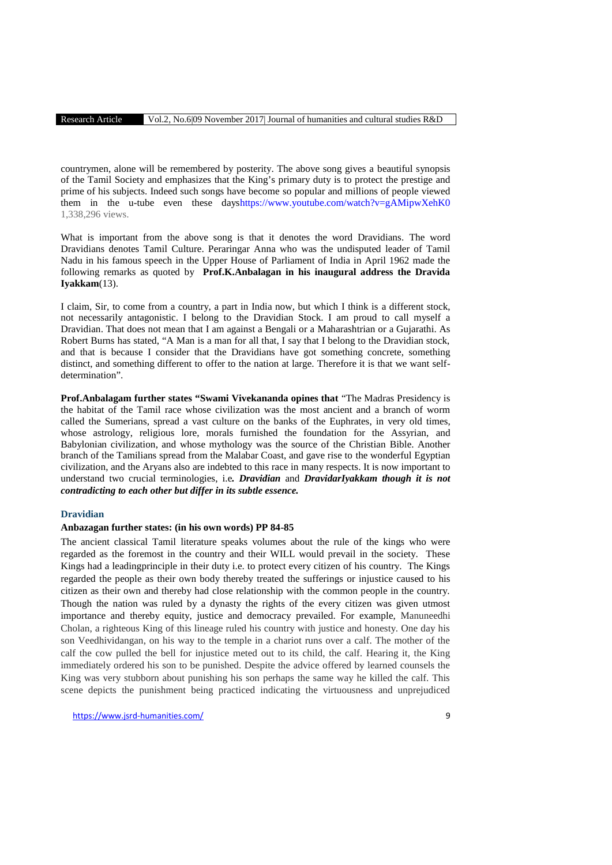countrymen, alone will be remembered by posterity. The above song gives a beautiful synopsis of the Tamil Society and emphasizes that the King's primary duty is to protect the prestige and prime of his subjects. Indeed such songs have become so popular and millions of people viewed them in the u-tube even these dayshttps://www.youtube.com/watch?v=gAMipwXehK0 1,338,296 views.

What is important from the above song is that it denotes the word Dravidians. The word Dravidians denotes Tamil Culture. Peraringar Anna who was the undisputed leader of Tamil Nadu in his famous speech in the Upper House of Parliament of India in April 1962 made the following remarks as quoted by **Prof.K.Anbalagan in his inaugural address the Dravida Iyakkam**(13).

I claim, Sir, to come from a country, a part in India now, but which I think is a different stock, not necessarily antagonistic. I belong to the Dravidian Stock. I am proud to call myself a Dravidian. That does not mean that I am against a Bengali or a Maharashtrian or a Gujarathi. As Robert Burns has stated, "A Man is a man for all that, I say that I belong to the Dravidian stock, and that is because I consider that the Dravidians have got something concrete, something distinct, and something different to offer to the nation at large. Therefore it is that we want self determination".

**Prof.Anbalagam further states "Swami Vivekananda opines that** "The Madras Presidency is the habitat of the Tamil race whose civilization was the most ancient and a branch of worm called the Sumerians, spread a vast culture on the banks of the Euphrates, in very old times, whose astrology, religious lore, morals furnished the foundation for the Assyrian, and Babylonian civilization, and whose mythology was the source of the Christian Bible. Another branch of the Tamilians spread from the Malabar Coast, and gave rise to the wonderful Egyptian civilization, and the Aryans also are indebted to this race in many respects. It is now important to understand two crucial terminologies, i.e*. Dravidian* and *DravidarIyakkam though it is not contradicting to each other but differ in its subtle essence.*

### **Dravidian**

#### **Anbazagan further states: (in his own words) PP 84-85**

The ancient classical Tamil literature speaks volumes about the rule of the kings who were regarded as the foremost in the country and their WILL would prevail in the society. These Kings had a leadingprinciple in their duty i.e. to protect every citizen of his country. The Kings regarded the people as their own body thereby treated the sufferings or injustice caused to his citizen as their own and thereby had close relationship with the common people in the country. Though the nation was ruled by a dynasty the rights of the every citizen was given utmost importance and thereby equity, justice and democracy prevailed. For example, Manuneedhi Cholan, a righteous King of this lineage ruled his country with justice and honesty. One day his son Veedhividangan, on his way to the temple in a chariot runs over a calf. The mother of the calf the cow pulled the bell for injustice meted out to its child, the calf. Hearing it, the King immediately ordered his son to be punished. Despite the advice offered by learned counsels the King was very stubborn about punishing his son perhaps the same way he killed the calf. This scene depicts the punishment being practiced indicating the virtuousness and unprejudiced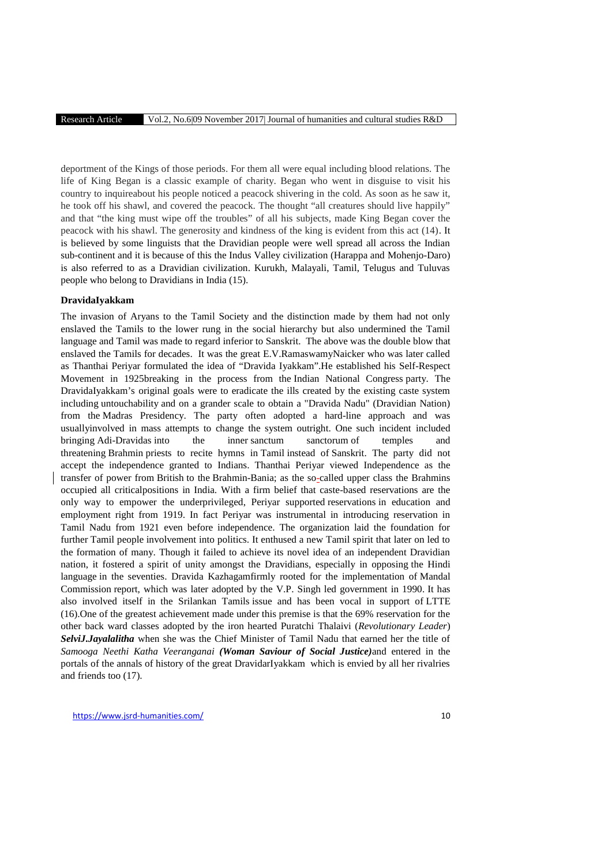deportment of the Kings of those periods. For them all were equal including blood relations. The life of King Began is a classic example of charity. Began who went in disguise to visit his country to inquireabout his people noticed a peacock shivering in the cold. As soon as he saw it, he took off his shawl, and covered the peacock. The thought "all creatures should live happily" and that "the king must wipe off the troubles" of all his subjects, made King Began cover the peacock with his shawl. The generosity and kindness of the king is evident from this act (14). It is believed by some linguists that the Dravidian people were well spread all across the Indian sub-continent and it is because of this the Indus Valley civilization (Harappa and Mohenjo-Daro) is also referred to as a Dravidian civilization. Kurukh, Malayali, Tamil, Telugus and Tuluvas people who belong to Dravidians in India (15).

#### **DravidaIyakkam**

The invasion of Aryans to the Tamil Society and the distinction made by them had not only enslaved the Tamils to the lower rung in the social hierarchy but also undermined the Tamil language and Tamil was made to regard inferior to Sanskrit. The above was the double blow that enslaved the Tamils for decades. It was the great E.V.RamaswamyNaicker who was later called as Thanthai Periyar formulated the idea of "Dravida Iyakkam".He established his Self-Respect Movement in 1925breaking in the process from the Indian National Congress party. The DravidaIyakkam's original goals were to eradicate the ills created by the existing caste system including untouchability and on a grander scale to obtain a "Dravida Nadu" (Dravidian Nation) from the Madras Presidency. The party often adopted a hard-line approach and was usuallyinvolved in mass attempts to change the system outright. One such incident included bringing Adi-Dravidas into the inner sanctum sanctorum of temples and threatening Brahmin priests to recite hymns in Tamil instead of Sanskrit. The party did not accept the independence granted to Indians. Thanthai Periyar viewed Independence as the transfer of power from British to the Brahmin-Bania; as the so-called upper class the Brahmins occupied all criticalpositions in India. With a firm belief that caste-based reservations are the only way to empower the underprivileged, Periyar supported reservations in education and employment right from 1919. In fact Periyar was instrumental in introducing reservation in Tamil Nadu from 1921 even before independence. The organization laid the foundation for further Tamil people involvement into politics. It enthused a new Tamil spirit that later on led to the formation of many. Though it failed to achieve its novel idea of an independent Dravidian nation, it fostered a spirit of unity amongst the Dravidians, especially in opposing the Hindi language in the seventies. Dravida Kazhagamfirmly rooted for the implementation of Mandal Commission report, which was later adopted by the V.P. Singh led government in 1990. It has also involved itself in the Srilankan Tamils issue and has been vocal in support of LTTE (16).One of the greatest achievement made under this premise is that the 69% reservation for the other back ward classes adopted by the iron hearted Puratchi Thalaivi (*Revolutionary Leader*) *SelviJ.Jayalalitha* when she was the Chief Minister of Tamil Nadu that earned her the title of *Samooga Neethi Katha Veeranganai (Woman Saviour of Social Justice)*and entered in the portals of the annals of history of the great DravidarIyakkam which is envied by all her rivalries and friends too (17).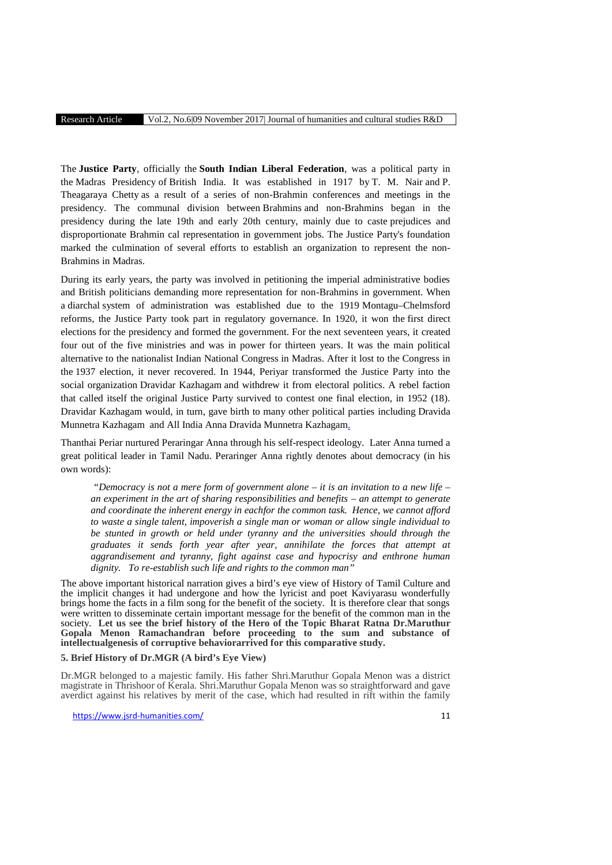The **Justice Party**, officially the **South Indian Liberal Federation**, was a political party in the Madras Presidency of British India. It was established in 1917 by T. M. Nair and P. Theagaraya Chetty as a result of a series of non-Brahmin conferences and meetings in the presidency. The communal division between Brahmins and non-Brahmins began in the presidency during the late 19th and early 20th century, mainly due to caste prejudices and disproportionate Brahmin cal representation in government jobs. The Justice Party's foundation marked the culmination of several efforts to establish an organization to represent the non- Brahmins in Madras.

During its early years, the party was involved in petitioning the imperial administrative bodies and British politicians demanding more representation for non-Brahmins in government. When a diarchal system of administration was established due to the 1919 Montagu–Chelmsford reforms, the Justice Party took part in regulatory governance. In 1920, it won the first direct elections for the presidency and formed the government. For the next seventeen years, it created four out of the five ministries and was in power for thirteen years. It was the main political alternative to the nationalist Indian National Congress in Madras. After it lost to the Congress in the 1937 election, it never recovered. In 1944, Periyar transformed the Justice Party into the social organization Dravidar Kazhagam and withdrew it from electoral politics. A rebel faction that called itself the original Justice Party survived to contest one final election, in 1952 (18). Dravidar Kazhagam would, in turn, gave birth to many other political parties including Dravida Munnetra Kazhagam and All India Anna Dravida Munnetra Kazhagam.

Thanthai Periar nurtured Peraringar Anna through his self-respect ideology. Later Anna turned a great political leader in Tamil Nadu. Peraringer Anna rightly denotes about democracy (in his own words):

*"Democracy is not a mere form of government alone – it is an invitation to a new life – an experiment in the art of sharing responsibilities and benefits – an attempt to generate and coordinate the inherent energy in eachfor the common task. Hence, we cannot afford to waste a single talent, impoverish a single man or woman or allow single individual to be stunted in growth or held under tyranny and the universities should through the graduates it sends forth year after year, annihilate the forces that attempt at aggrandisement and tyranny, fight against case and hypocrisy and enthrone human dignity. To re-establish such life and rights to the common man"*

The above important historical narration gives a bird's eye view of History of Tamil Culture and the implicit changes it had undergone and how the lyricist and poet Kaviyarasu wonderfully brings home the facts in a film song for the benefit of the society. It is therefore clear that songs were written to disseminate certain important message for the benefit of the common man in the society. **Let us see the brief history of the Hero of the Topic Bharat Ratna Dr.Maruthur Gopala Menon Ramachandran before proceeding to the sum and substance of intellectualgenesis of corruptive behaviorarrived for this comparative study.**

# **5. Brief History of Dr.MGR (A bird's Eye View)**

Dr.MGR belonged to a majestic family. His father Shri.Maruthur Gopala Menon was a district magistrate in Thrishoor of Kerala. Shri.Maruthur Gopala Menon was so straightforward and gave averdict against his relatives by merit of the case, which had resulted in rift within the family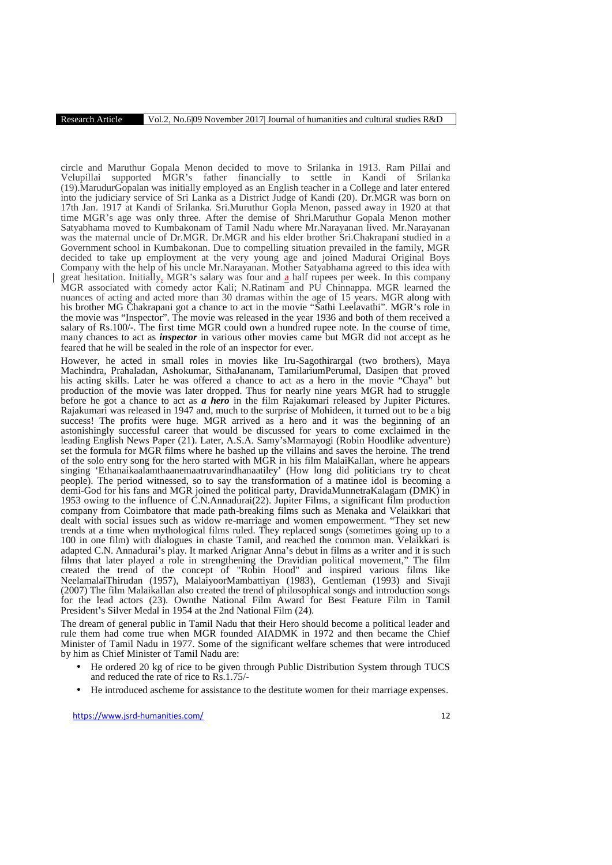circle and Maruthur Gopala Menon decided to move to Srilanka in 1913. Ram Pillai and Velupillai supported MGR's father financially to settle in Kandi of Srilanka (19).MarudurGopalan was initially employed as an English teacher in a College and later entered into the judiciary service of Sri Lanka as a District Judge of Kandi (20). Dr.MGR was born on 17th Jan. 1917 at Kandi of Srilanka. Sri.Muruthur Gopla Menon, passed away in 1920 at that time MGR's age was only three. After the demise of Shri.Maruthur Gopala Menon mother Satyabhama moved to Kumbakonam of Tamil Nadu where Mr.Narayanan lived. Mr.Narayanan was the maternal uncle of Dr.MGR. Dr.MGR and his elder brother Sri.Chakrapani studied in a Government school in Kumbakonan. Due to compelling situation prevailed in the family, MGR decided to take up employment at the very young age and joined Madurai Original Boys Company with the help of his uncle Mr.Narayanan. Mother Satyabhama agreed to this idea with great hesitation. Initially, MGR's salary was four and  $\underline{a}$  half rupees per week. In this company MGR associated with comedy actor Kali; N.Ratinam and PU Chinnappa. MGR learned the nuances of acting and acted more than 30 dramas within the age of 15 years. MGR along with his brother MG Chakrapani got a chance to act in the movie "Sathi Leelavathi". MGR's role in the movie was "Inspector". The movie was released in the year 1936 and both of them received a salary of Rs.100/-. The first time MGR could own a hundred rupee note. In the course of time, many chances to act as *inspector* in various other movies came but MGR did not accept as he feared that he will be sealed in the role of an inspector for ever.

However, he acted in small roles in movies like Iru-Sagothirargal (two brothers), Maya Machindra, Prahaladan, Ashokumar, SithaJananam, TamilariumPerumal, Dasipen that proved his acting skills. Later he was offered a chance to act as a hero in the movie "Chaya" but production of the movie was later dropped. Thus for nearly nine years MGR had to struggle before he got a chance to act as *a hero* in the film Rajakumari released by Jupiter Pictures. Rajakumari was released in 1947 and, much to the surprise of Mohideen, it turned out to be a big success! The profits were huge. MGR arrived as a hero and it was the beginning of an astonishingly successful career that would be discussed for years to come exclaimed in the leading English News Paper (21). Later, A.S.A. Samy'sMarmayogi (Robin Hoodlike adventure) set the formula for MGR films where he bashed up the villains and saves the heroine. The trend of the solo entry song for the hero started with MGR in his film MalaiKallan, where he appears singing 'Ethanaikaalamthaanemaatruvarindhanaatiley' (How long did politicians try to cheat people). The period witnessed, so to say the transformation of a matinee idol is becoming a demi-God for his fans and MGR joined the political party, DravidaMunnetraKalagam (DMK) in 1953 owing to the influence of C.N.Annadurai(22). Jupiter Films, a significant film production company from Coimbatore that made path-breaking films such as Menaka and Velaikkari that dealt with social issues such as widow re-marriage and women empowerment. "They set new trends at a time when mythological films ruled. They replaced songs (sometimes going up to a 100 in one film) with dialogues in chaste Tamil, and reached the common man. Velaikkari is adapted C.N. Annadurai's play. It marked Arignar Anna's debut in films as a writer and it is such films that later played a role in strengthening the Dravidian political movement," The film created the trend of the concept of "Robin Hood" and inspired various films like NeelamalaiThirudan (1957), MalaiyoorMambattiyan (1983), Gentleman (1993) and Sivaji (2007) The film Malaikallan also created the trend of philosophical songs and introduction songs for the lead actors (23). Ownthe National Film Award for Best Feature Film in Tamil President's Silver Medal in 1954 at the 2nd National Film (24).

The dream of general public in Tamil Nadu that their Hero should become a political leader and rule them had come true when MGR founded AIADMK in 1972 and then became the Chief Minister of Tamil Nadu in 1977. Some of the significant welfare schemes that were introduced by him as Chief Minister of Tamil Nadu are:

- He ordered 20 kg of rice to be given through Public Distribution System through TUCS and reduced the rate of rice to Rs.1.75/-
- He introduced ascheme for assistance to the destitute women for their marriage expenses.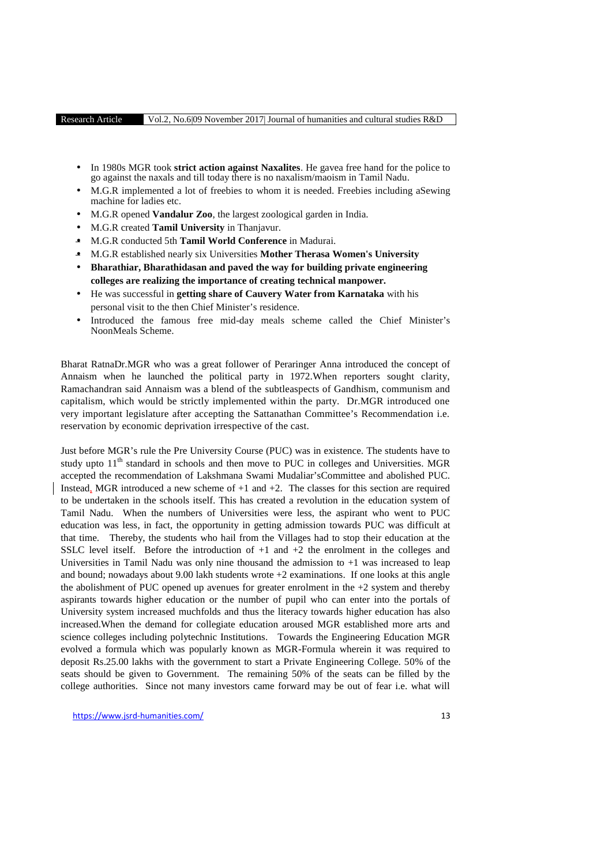- In 1980s MGR took **strict action against Naxalites**. He gavea free hand for the police to go against the naxals and till today there is no naxalism/maoism in Tamil Nadu.
- M.G.R implemented a lot of freebies to whom it is needed. Freebies including aSewing machine for ladies etc.
- M.G.R opened **Vandalur Zoo**, the largest zoological garden in India.
- M.G.R created **Tamil University** in Thanjavur.
- M.G.R conducted 5th **Tamil World Conference** in Madurai.
- M.G.R established nearly six Universities **Mother Therasa Women's University**
- **Bharathiar, Bharathidasan and paved the way for building private engineering colleges are realizing the importance of creating technical manpower.**
- He was successful in **getting share of Cauvery Water from Karnataka** with his personal visit to the then Chief Minister's residence.
- Introduced the famous free mid-day meals scheme called the Chief Minister's NoonMeals Scheme.

Bharat RatnaDr.MGR who was a great follower of Peraringer Anna introduced the concept of Annaism when he launched the political party in 1972.When reporters sought clarity, Ramachandran said Annaism was a blend of the subtleaspects of Gandhism, communism and capitalism, which would be strictly implemented within the party. Dr.MGR introduced one very important legislature after accepting the Sattanathan Committee's Recommendation i.e. reservation by economic deprivation irrespective of the cast.

Just before MGR's rule the Pre University Course (PUC) was in existence. The students have to study upto 11<sup>th</sup> standard in schools and then move to PUC in colleges and Universities. MGR accepted the recommendation of Lakshmana Swami Mudaliar'sCommittee and abolished PUC. Instead, MGR introduced a new scheme of  $+1$  and  $+2$ . The classes for this section are required to be undertaken in the schools itself. This has created a revolution in the education system of Tamil Nadu. When the numbers of Universities were less, the aspirant who went to PUC education was less, in fact, the opportunity in getting admission towards PUC was difficult at that time. Thereby, the students who hail from the Villages had to stop their education at the SSLC level itself. Before the introduction of  $+1$  and  $+2$  the enrolment in the colleges and Universities in Tamil Nadu was only nine thousand the admission to  $+1$  was increased to leap and bound; nowadays about 9.00 lakh students wrote  $+2$  examinations. If one looks at this angle the abolishment of PUC opened up avenues for greater enrolment in the +2 system and thereby aspirants towards higher education or the number of pupil who can enter into the portals of University system increased muchfolds and thus the literacy towards higher education has also increased.When the demand for collegiate education aroused MGR established more arts and science colleges including polytechnic Institutions. Towards the Engineering Education MGR evolved a formula which was popularly known as MGR-Formula wherein it was required to deposit Rs.25.00 lakhs with the government to start a Private Engineering College. 50% of the seats should be given to Government. The remaining 50% of the seats can be filled by the college authorities. Since not many investors came forward may be out of fear i.e. what will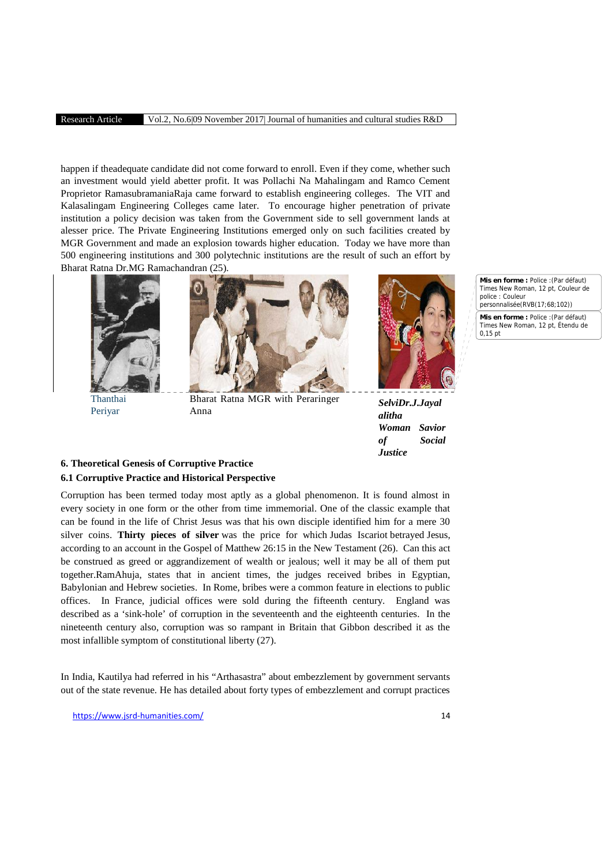happen if theadequate candidate did not come forward to enroll. Even if they come, whether such an investment would yield abetter profit. It was Pollachi Na Mahalingam and Ramco Cement Proprietor RamasubramaniaRaja came forward to establish engineering colleges. The VIT and Kalasalingam Engineering Colleges came later. To encourage higher penetration of private institution a policy decision was taken from the Government side to sell government lands at alesser price. The Private Engineering Institutions emerged only on such facilities created by MGR Government and made an explosion towards higher education. Today we have more than 500 engineering institutions and 300 polytechnic institutions are the result of such an effort by Bharat Ratna Dr.MG Ramachandran (25).



**Thanthai** Periyar



Bharat Ratna MGR with Peraringer Anna *SelviDr.J.Jayal*



*alitha Woman Savior of Social Justice*

**Mis en forme :** Police :(Par défaut) Times New Roman, 12 pt, Couleur de police : Couleur personnalisée(RVB(17;68;102))

**Mis en forme :** Police :(Par défaut) Times New Roman, 12 pt, Étendu de 0,15 pt

# **6. Theoretical Genesis of Corruptive Practice 6.1 Corruptive Practice and Historical Perspective**

Corruption has been termed today most aptly as a global phenomenon. It is found almost in every society in one form or the other from time immemorial. One of the classic example that can be found in the life of Christ Jesus was that his own disciple identified him for a mere 30 silver coins. **Thirty pieces of silver** was the price for which Judas Iscariot betrayed Jesus, according to an account in the Gospel of Matthew 26:15 in the New Testament (26). Can this act be construed as greed or aggrandizement of wealth or jealous; well it may be all of them put together.RamAhuja, states that in ancient times, the judges received bribes in Egyptian, Babylonian and Hebrew societies. In Rome, bribes were a common feature in elections to public offices. In France, judicial offices were sold during the fifteenth century. England was described as a 'sink-hole' of corruption in the seventeenth and the eighteenth centuries. In the nineteenth century also, corruption was so rampant in Britain that Gibbon described it as the most infallible symptom of constitutional liberty (27).

In India, Kautilya had referred in his "Arthasastra" about embezzlement by government servants out of the state revenue. He has detailed about forty types of embezzlement and corrupt practices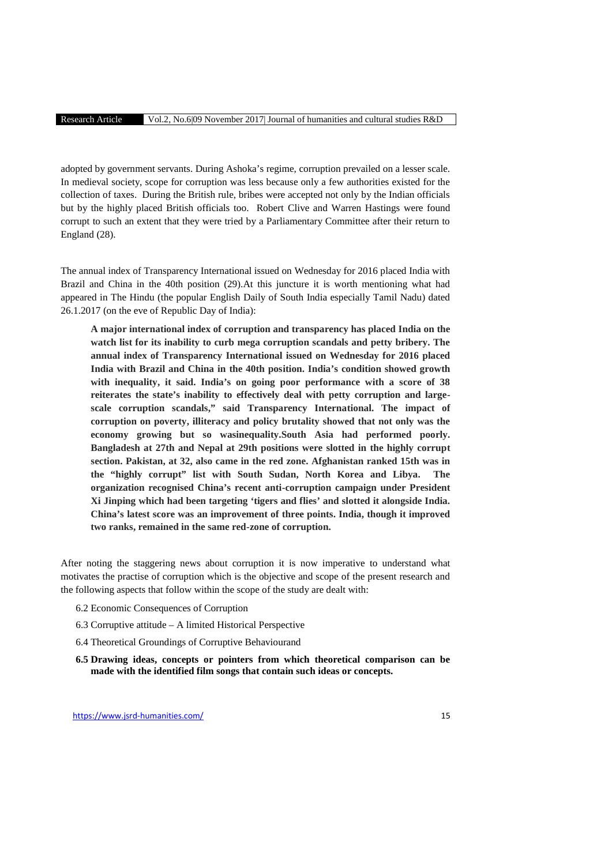adopted by government servants. During Ashoka's regime, corruption prevailed on a lesser scale. In medieval society, scope for corruption was less because only a few authorities existed for the collection of taxes. During the British rule, bribes were accepted not only by the Indian officials but by the highly placed British officials too. Robert Clive and Warren Hastings were found corrupt to such an extent that they were tried by a Parliamentary Committee after their return to England (28).

The annual index of Transparency International issued on Wednesday for 2016 placed India with Brazil and China in the 40th position (29).At this juncture it is worth mentioning what had appeared in The Hindu (the popular English Daily of South India especially Tamil Nadu) dated 26.1.2017 (on the eve of Republic Day of India):

**A major international index of corruption and transparency has placed India on the watch list for its inability to curb mega corruption scandals and petty bribery. The annual index of Transparency International issued on Wednesday for 2016 placed India with Brazil and China in the 40th position. India's condition showed growth with inequality, it said. India's on going poor performance with a score of 38 reiterates the state's inability to effectively deal with petty corruption and large scale corruption scandals," said Transparency International. The impact of corruption on poverty, illiteracy and policy brutality showed that not only was the economy growing but so wasinequality.South Asia had performed poorly. Bangladesh at 27th and Nepal at 29th positions were slotted in the highly corrupt section. Pakistan, at 32, also came in the red zone. Afghanistan ranked 15th was in the "highly corrupt" list with South Sudan, North Korea and Libya. The organization recognised China's recent anti-corruption campaign under President Xi Jinping which had been targeting 'tigers and flies' and slotted it alongside India. China's latest score was an improvement of three points. India, though it improved two ranks, remained in the same red-zone of corruption.**

After noting the staggering news about corruption it is now imperative to understand what motivates the practise of corruption which is the objective and scope of the present research and the following aspects that follow within the scope of the study are dealt with:

- 6.2 Economic Consequences of Corruption
- 6.3 Corruptive attitude A limited Historical Perspective
- 6.4 Theoretical Groundings of Corruptive Behaviourand
- **6.5 Drawing ideas, concepts or pointers from which theoretical comparison can be made with the identified film songs that contain such ideas or concepts.**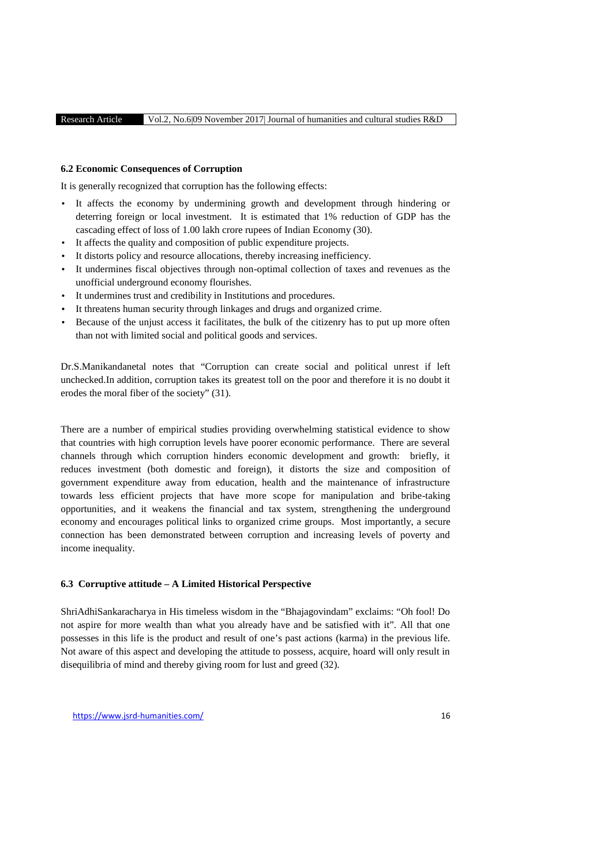#### **6.2 Economic Consequences of Corruption**

It is generally recognized that corruption has the following effects:

- It affects the economy by undermining growth and development through hindering or deterring foreign or local investment. It is estimated that 1% reduction of GDP has the cascading effect of loss of 1.00 lakh crore rupees of Indian Economy (30).
- It affects the quality and composition of public expenditure projects.
- It distorts policy and resource allocations, thereby increasing inefficiency.
- It undermines fiscal objectives through non-optimal collection of taxes and revenues as the unofficial underground economy flourishes.
- It undermines trust and credibility in Institutions and procedures.
- It threatens human security through linkages and drugs and organized crime.
- Because of the unjust access it facilitates, the bulk of the citizenry has to put up more often than not with limited social and political goods and services.

Dr.S.Manikandanetal notes that "Corruption can create social and political unrest if left unchecked.In addition, corruption takes its greatest toll on the poor and therefore it is no doubt it erodes the moral fiber of the society" (31).

There are a number of empirical studies providing overwhelming statistical evidence to show that countries with high corruption levels have poorer economic performance. There are several channels through which corruption hinders economic development and growth: briefly, it reduces investment (both domestic and foreign), it distorts the size and composition of government expenditure away from education, health and the maintenance of infrastructure towards less efficient projects that have more scope for manipulation and bribe-taking opportunities, and it weakens the financial and tax system, strengthening the underground economy and encourages political links to organized crime groups. Most importantly, a secure connection has been demonstrated between corruption and increasing levels of poverty and income inequality.

#### **6.3 Corruptive attitude – A Limited Historical Perspective**

ShriAdhiSankaracharya in His timeless wisdom in the "Bhajagovindam" exclaims: "Oh fool! Do not aspire for more wealth than what you already have and be satisfied with it". All that one possesses in this life is the product and result of one's past actions (karma) in the previous life. Not aware of this aspect and developing the attitude to possess, acquire, hoard will only result in disequilibria of mind and thereby giving room for lust and greed (32).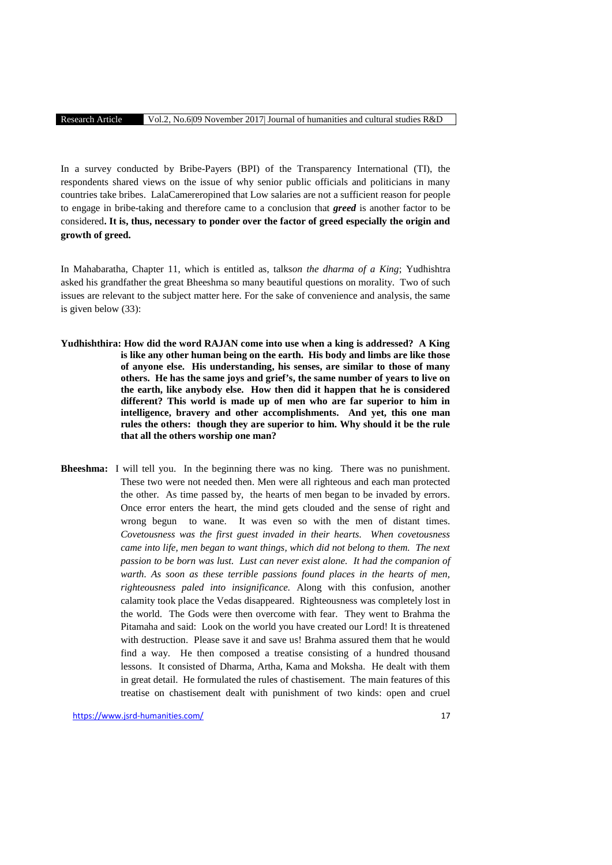In a survey conducted by Bribe-Payers (BPI) of the Transparency International (TI), the respondents shared views on the issue of why senior public officials and politicians in many countries take bribes. LalaCamereropined that Low salaries are not a sufficient reason for people to engage in bribe-taking and therefore came to a conclusion that *greed* is another factor to be considered**. It is, thus, necessary to ponder over the factor of greed especially the origin and growth of greed.**

In Mahabaratha, Chapter 11, which is entitled as, talks*on the dharma of a King*; Yudhishtra asked his grandfather the great Bheeshma so many beautiful questions on morality. Two of such issues are relevant to the subject matter here. For the sake of convenience and analysis, the same is given below (33):

- **Yudhishthira: How did the word RAJAN come into use when a king is addressed? A King is like any other human being on the earth. His body and limbs are like those of anyone else. His understanding, his senses, are similar to those of many others. He has the same joys and grief's, the same number of years to live on the earth, like anybody else. How then did it happen that he is considered different? This world is made up of men who are far superior to him in intelligence, bravery and other accomplishments. And yet, this one man rules the others: though they are superior to him. Why should it be the rule that all the others worship one man?**
- **Bheeshma:** I will tell you. In the beginning there was no king. There was no punishment. These two were not needed then. Men were all righteous and each man protected the other. As time passed by, the hearts of men began to be invaded by errors. Once error enters the heart, the mind gets clouded and the sense of right and wrong begun to wane. It was even so with the men of distant times. *Covetousness was the first guest invaded in their hearts. When covetousness came into life, men began to want things, which did not belong to them. The next passion to be born was lust. Lust can never exist alone. It had the companion of warth. As soon as these terrible passions found places in the hearts of men, righteousness paled into insignificance.* Along with this confusion, another calamity took place the Vedas disappeared. Righteousness was completely lost in the world. The Gods were then overcome with fear. They went to Brahma the Pitamaha and said: Look on the world you have created our Lord! It is threatened with destruction. Please save it and save us! Brahma assured them that he would find a way. He then composed a treatise consisting of a hundred thousand lessons. It consisted of Dharma, Artha, Kama and Moksha. He dealt with them in great detail. He formulated the rules of chastisement. The main features of this treatise on chastisement dealt with punishment of two kinds: open and cruel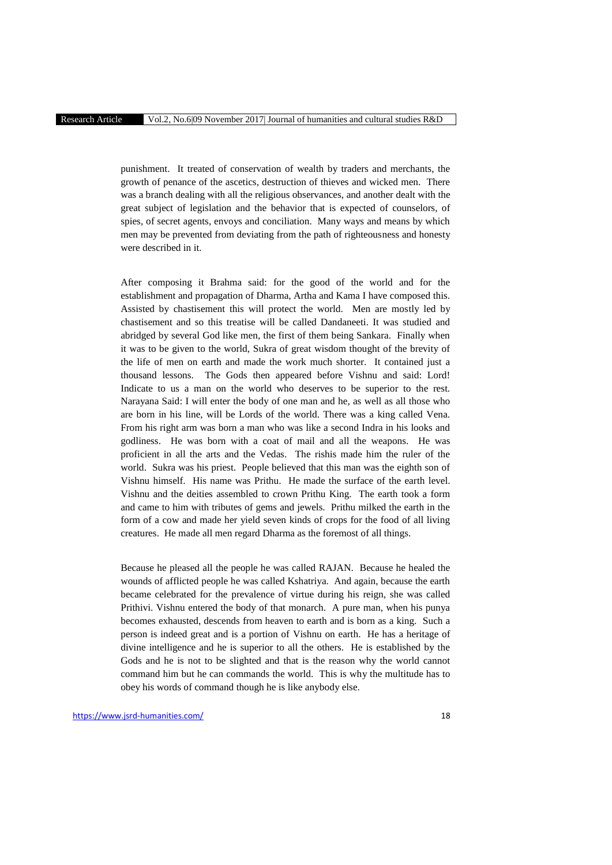punishment. It treated of conservation of wealth by traders and merchants, the growth of penance of the ascetics, destruction of thieves and wicked men. There was a branch dealing with all the religious observances, and another dealt with the great subject of legislation and the behavior that is expected of counselors, of spies, of secret agents, envoys and conciliation. Many ways and means by which men may be prevented from deviating from the path of righteousness and honesty were described in it.

After composing it Brahma said: for the good of the world and for the establishment and propagation of Dharma, Artha and Kama I have composed this. Assisted by chastisement this will protect the world. Men are mostly led by chastisement and so this treatise will be called Dandaneeti. It was studied and abridged by several God like men, the first of them being Sankara. Finally when it was to be given to the world, Sukra of great wisdom thought of the brevity of the life of men on earth and made the work much shorter. It contained just a thousand lessons. The Gods then appeared before Vishnu and said: Lord! Indicate to us a man on the world who deserves to be superior to the rest. Narayana Said: I will enter the body of one man and he, as well as all those who are born in his line, will be Lords of the world. There was a king called Vena. From his right arm was born a man who was like a second Indra in his looks and godliness. He was born with a coat of mail and all the weapons. He was proficient in all the arts and the Vedas. The rishis made him the ruler of the world. Sukra was his priest. People believed that this man was the eighth son of Vishnu himself. His name was Prithu. He made the surface of the earth level. Vishnu and the deities assembled to crown Prithu King. The earth took a form and came to him with tributes of gems and jewels. Prithu milked the earth in the form of a cow and made her yield seven kinds of crops for the food of all living creatures. He made all men regard Dharma as the foremost of all things.

Because he pleased all the people he was called RAJAN. Because he healed the wounds of afflicted people he was called Kshatriya. And again, because the earth became celebrated for the prevalence of virtue during his reign, she was called Prithivi. Vishnu entered the body of that monarch. A pure man, when his punya becomes exhausted, descends from heaven to earth and is born as a king. Such a person is indeed great and is a portion of Vishnu on earth. He has a heritage of divine intelligence and he is superior to all the others. He is established by the Gods and he is not to be slighted and that is the reason why the world cannot command him but he can commands the world. This is why the multitude has to obey his words of command though he is like anybody else.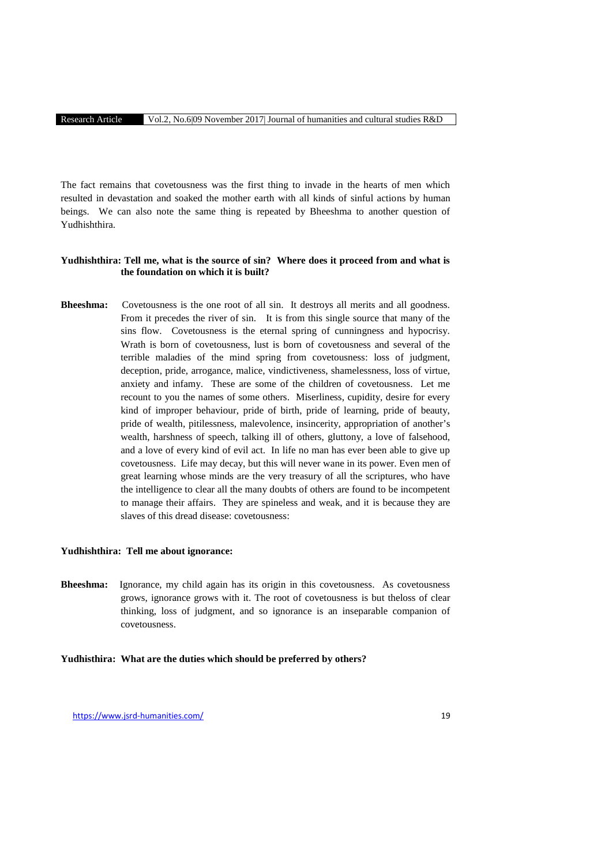The fact remains that covetousness was the first thing to invade in the hearts of men which resulted in devastation and soaked the mother earth with all kinds of sinful actions by human beings. We can also note the same thing is repeated by Bheeshma to another question of Yudhishthira.

### **Yudhishthira: Tell me, what is the source of sin? Where does it proceed from and what is the foundation on which it is built?**

**Bheeshma:** Covetousness is the one root of all sin. It destroys all merits and all goodness. From it precedes the river of sin. It is from this single source that many of the sins flow. Covetousness is the eternal spring of cunningness and hypocrisy. Wrath is born of covetousness, lust is born of covetousness and several of the terrible maladies of the mind spring from covetousness: loss of judgment, deception, pride, arrogance, malice, vindictiveness, shamelessness, loss of virtue, anxiety and infamy. These are some of the children of covetousness. Let me recount to you the names of some others. Miserliness, cupidity, desire for every kind of improper behaviour, pride of birth, pride of learning, pride of beauty, pride of wealth, pitilessness, malevolence, insincerity, appropriation of another's wealth, harshness of speech, talking ill of others, gluttony, a love of falsehood, and a love of every kind of evil act. In life no man has ever been able to give up covetousness. Life may decay, but this will never wane in its power. Even men of great learning whose minds are the very treasury of all the scriptures, who have the intelligence to clear all the many doubts of others are found to be incompetent to manage their affairs. They are spineless and weak, and it is because they are slaves of this dread disease: covetousness:

#### **Yudhishthira: Tell me about ignorance:**

**Bheeshma:** Ignorance, my child again has its origin in this covetousness. As covetousness grows, ignorance grows with it. The root of covetousness is but theloss of clear thinking, loss of judgment, and so ignorance is an inseparable companion of covetousness.

#### **Yudhisthira: What are the duties which should be preferred by others?**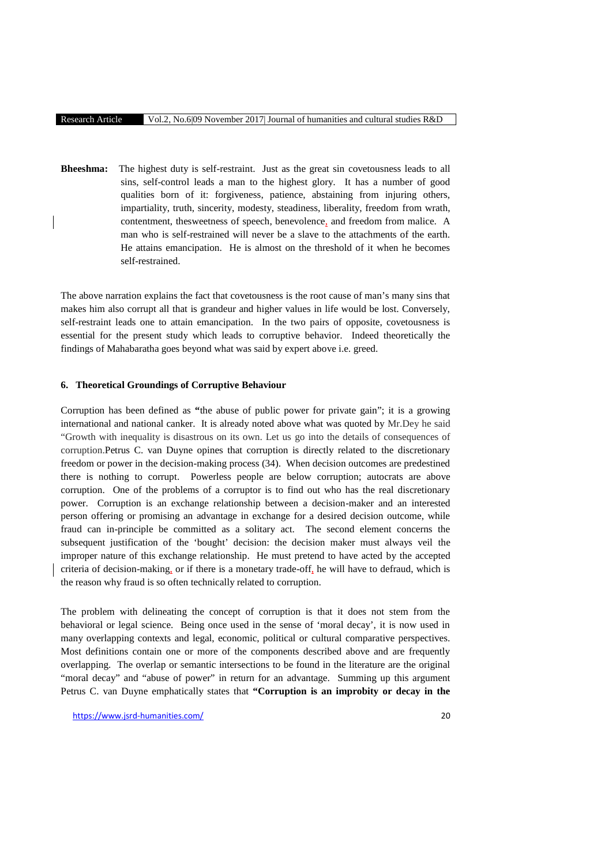**Bheeshma:** The highest duty is self-restraint. Just as the great sin covetousness leads to all sins, self-control leads a man to the highest glory. It has a number of good qualities born of it: forgiveness, patience, abstaining from injuring others, impartiality, truth, sincerity, modesty, steadiness, liberality, freedom from wrath, contentment, thesweetness of speech, benevolence, and freedom from malice. A man who is self-restrained will never be a slave to the attachments of the earth. He attains emancipation. He is almost on the threshold of it when he becomes self-restrained.

The above narration explains the fact that covetousness is the root cause of man's many sins that makes him also corrupt all that is grandeur and higher values in life would be lost. Conversely, self-restraint leads one to attain emancipation. In the two pairs of opposite, covetousness is essential for the present study which leads to corruptive behavior. Indeed theoretically the findings of Mahabaratha goes beyond what was said by expert above i.e. greed.

#### **6. Theoretical Groundings of Corruptive Behaviour**

Corruption has been defined as **"**the abuse of public power for private gain"; it is a growing international and national canker. It is already noted above what was quoted by Mr.Dey he said "Growth with inequality is disastrous on its own. Let us go into the details of consequences of corruption.Petrus C. van Duyne opines that corruption is directly related to the discretionary freedom or power in the decision-making process (34). When decision outcomes are predestined there is nothing to corrupt. Powerless people are below corruption; autocrats are above corruption. One of the problems of a corruptor is to find out who has the real discretionary power. Corruption is an exchange relationship between a decision-maker and an interested person offering or promising an advantage in exchange for a desired decision outcome, while fraud can in-principle be committed as a solitary act. The second element concerns the subsequent justification of the 'bought' decision: the decision maker must always veil the improper nature of this exchange relationship. He must pretend to have acted by the accepted criteria of decision-making, or if there is a monetary trade-off, he will have to defraud, which is the reason why fraud is so often technically related to corruption.

The problem with delineating the concept of corruption is that it does not stem from the behavioral or legal science. Being once used in the sense of 'moral decay', it is now used in many overlapping contexts and legal, economic, political or cultural comparative perspectives. Most definitions contain one or more of the components described above and are frequently overlapping. The overlap or semantic intersections to be found in the literature are the original "moral decay" and "abuse of power" in return for an advantage. Summing up this argument Petrus C. van Duyne emphatically states that **"Corruption is an improbity or decay in the**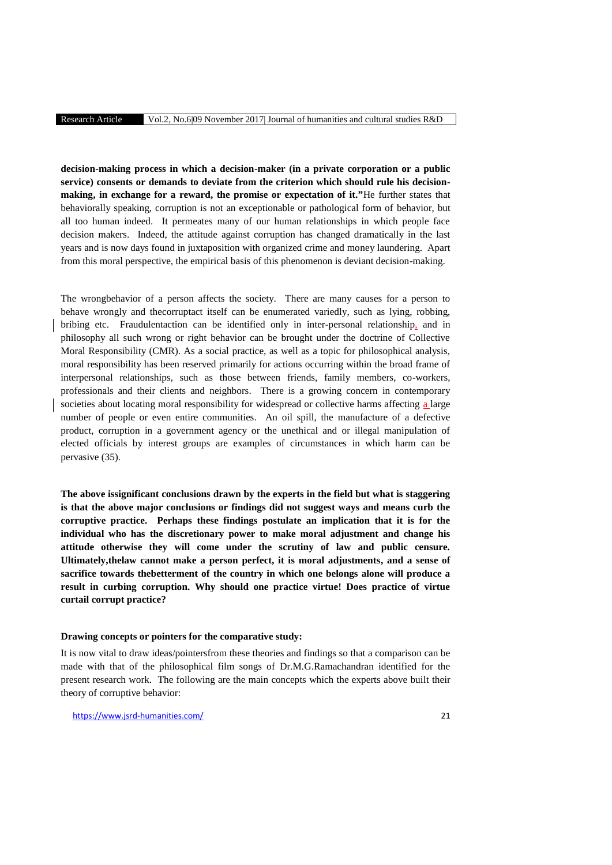**decision-making process in which a decision-maker (in a private corporation or a public service) consents or demands to deviate from the criterion which should rule his decision making, in exchange for a reward, the promise or expectation of it."**He further states that behaviorally speaking, corruption is not an exceptionable or pathological form of behavior, but all too human indeed. It permeates many of our human relationships in which people face decision makers. Indeed, the attitude against corruption has changed dramatically in the last years and is now days found in juxtaposition with organized crime and money laundering. Apart from this moral perspective, the empirical basis of this phenomenon is deviant decision-making.

The wrongbehavior of a person affects the society. There are many causes for a person to behave wrongly and thecorruptact itself can be enumerated variedly, such as lying, robbing, bribing etc. Fraudulentaction can be identified only in inter-personal relationship, and in philosophy all such wrong or right behavior can be brought under the doctrine of Collective Moral Responsibility (CMR). As a social practice, as well as a topic for philosophical analysis, moral responsibility has been reserved primarily for actions occurring within the broad frame of interpersonal relationships, such as those between friends, family members, co-workers, professionals and their clients and neighbors. There is a growing concern in contemporary societies about locating moral responsibility for widespread or collective harms affecting a large number of people or even entire communities. An oil spill, the manufacture of a defective product, corruption in a government agency or the unethical and or illegal manipulation of elected officials by interest groups are examples of circumstances in which harm can be pervasive (35).

**The above issignificant conclusions drawn by the experts in the field but what is staggering is that the above major conclusions or findings did not suggest ways and means curb the corruptive practice. Perhaps these findings postulate an implication that it is for the individual who has the discretionary power to make moral adjustment and change his attitude otherwise they will come under the scrutiny of law and public censure. Ultimately,thelaw cannot make a person perfect, it is moral adjustments, and a sense of sacrifice towards thebetterment of the country in which one belongs alone will produce a result in curbing corruption. Why should one practice virtue! Does practice of virtue curtail corrupt practice?**

#### **Drawing concepts or pointers for the comparative study:**

It is now vital to draw ideas/pointersfrom these theories and findings so that a comparison can be made with that of the philosophical film songs of Dr.M.G.Ramachandran identified for the present research work. The following are the main concepts which the experts above built their theory of corruptive behavior: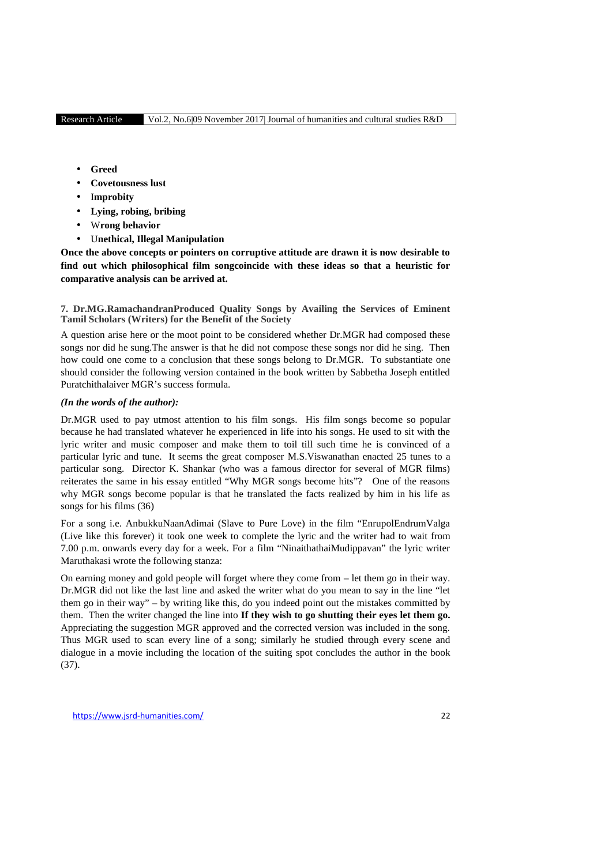- **Greed**
- **Covetousness lust**
- I**mprobity**
- **Lying, robing, bribing**
- W**rong behavior**
- U**nethical, Illegal Manipulation**

**Once the above concepts or pointers on corruptive attitude are drawn it is now desirable to find out which philosophical film songcoincide with these ideas so that a heuristic for comparative analysis can be arrived at.**

**7. Dr.MG.RamachandranProduced Quality Songs by Availing the Services of Eminent Tamil Scholars (Writers) for the Benefit of the Society**

A question arise here or the moot point to be considered whether Dr.MGR had composed these songs nor did he sung.The answer is that he did not compose these songs nor did he sing. Then how could one come to a conclusion that these songs belong to Dr.MGR. To substantiate one should consider the following version contained in the book written by Sabbetha Joseph entitled Puratchithalaiver MGR's success formula.

#### *(In the words of the author):*

Dr.MGR used to pay utmost attention to his film songs. His film songs become so popular because he had translated whatever he experienced in life into his songs. He used to sit with the lyric writer and music composer and make them to toil till such time he is convinced of a particular lyric and tune. It seems the great composer M.S.Viswanathan enacted 25 tunes to a particular song. Director K. Shankar (who was a famous director for several of MGR films) reiterates the same in his essay entitled "Why MGR songs become hits"? One of the reasons why MGR songs become popular is that he translated the facts realized by him in his life as songs for his films (36)

For a song i.e. AnbukkuNaanAdimai (Slave to Pure Love) in the film "EnrupolEndrumValga (Live like this forever) it took one week to complete the lyric and the writer had to wait from 7.00 p.m. onwards every day for a week. For a film "NinaithathaiMudippavan" the lyric writer Maruthakasi wrote the following stanza:

On earning money and gold people will forget where they come from – let them go in their way. Dr.MGR did not like the last line and asked the writer what do you mean to say in the line "let them go in their way" – by writing like this, do you indeed point out the mistakes committed by them. Then the writer changed the line into **If they wish to go shutting their eyes let them go.** Appreciating the suggestion MGR approved and the corrected version was included in the song. Thus MGR used to scan every line of a song; similarly he studied through every scene and dialogue in a movie including the location of the suiting spot concludes the author in the book (37).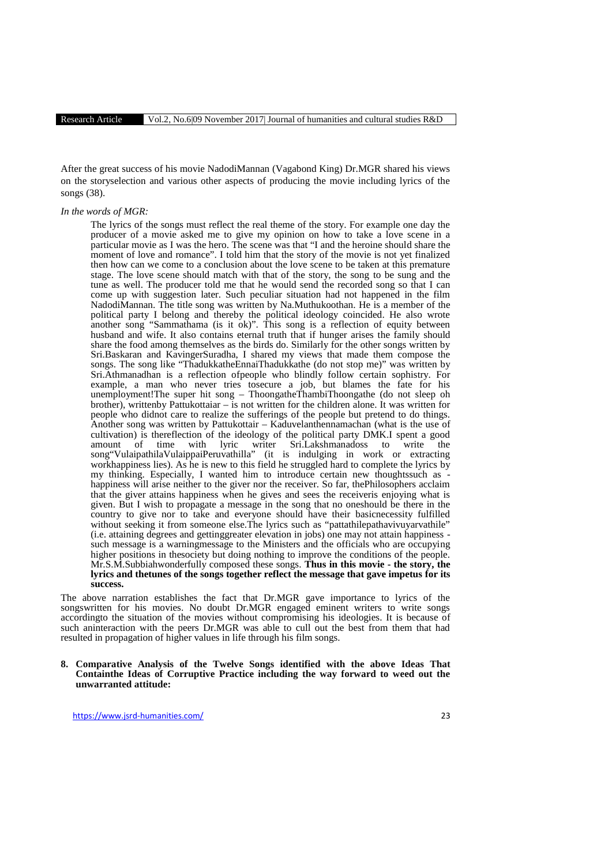After the great success of his movie NadodiMannan (Vagabond King) Dr.MGR shared his views on the storyselection and various other aspects of producing the movie including lyrics of the songs (38).

#### *In the words of MGR:*

The lyrics of the songs must reflect the real theme of the story. For example one day the producer of a movie asked me to give my opinion on how to take a love scene in a particular movie as I was the hero. The scene was that "I and the heroine should share the moment of love and romance". I told him that the story of the movie is not yet finalized then how can we come to a conclusion about the love scene to be taken at this premature stage. The love scene should match with that of the story, the song to be sung and the tune as well. The producer told me that he would send the recorded song so that I can come up with suggestion later. Such peculiar situation had not happened in the film NadodiMannan. The title song was written by Na.Muthukoothan. He is a member of the political party I belong and thereby the political ideology coincided. He also wrote another song "Sammathama (is it ok)". This song is a reflection of equity between husband and wife. It also contains eternal truth that if hunger arises the family should share the food among themselves as the birds do. Similarly for the other songs written by Sri.Baskaran and KavingerSuradha, I shared my views that made them compose the songs. The song like "ThadukkatheEnnaiThadukkathe (do not stop me)" was written by Sri.Athmanadhan is a reflection ofpeople who blindly follow certain sophistry. For example, a man who never tries tosecure a job, but blames the fate for his unemployment!The super hit song - ThoongatheThambiThoongathe (do not sleep oh brother), writtenby Pattukottaiar – is not written for the children alone. It was written for people who didnot care to realize the sufferings of the people but pretend to do things. Another song was written by Pattukottair – Kaduvelanthennamachan (what is the use of cultivation) is thereflection of the ideology of the political party DMK.I spent a good amount of time with lyric writer Sri.Lakshmanadoss to write the song"VulaipathilaVulaippaiPeruvathilla" (it is indulging in work or extracting workhappiness lies). As he is new to this field he struggled hard to complete the lyrics by my thinking. Especially, I wanted him to introduce certain new thoughtssuch as - happiness will arise neither to the giver nor the receiver. So far, thePhilosophers acclaim that the giver attains happiness when he gives and sees the receiveris enjoying what is given. But I wish to propagate a message in the song that no oneshould be there in the country to give nor to take and everyone should have their basicnecessity fulfilled without seeking it from someone else.The lyrics such as "pattathilepathavivuyarvathile" (i.e. attaining degrees and gettinggreater elevation in jobs) one may not attain happiness - such message is a warningmessage to the Ministers and the officials who are occupying higher positions in thesociety but doing nothing to improve the conditions of the people. Mr.S.M.Subbiahwonderfully composed these songs. **Thus in this movie - the story, the lyrics and thetunes of the songs together reflect the message that gave impetus for its success.**

The above narration establishes the fact that Dr.MGR gave importance to lyrics of the songswritten for his movies. No doubt Dr.MGR engaged eminent writers to write songs accordingto the situation of the movies without compromising his ideologies. It is because of such aninteraction with the peers Dr.MGR was able to cull out the best from them that had resulted in propagation of higher values in life through his film songs.

**8. Comparative Analysis of the Twelve Songs identified with the above Ideas That Containthe Ideas of Corruptive Practice including the way forward to weed out the unwarranted attitude:**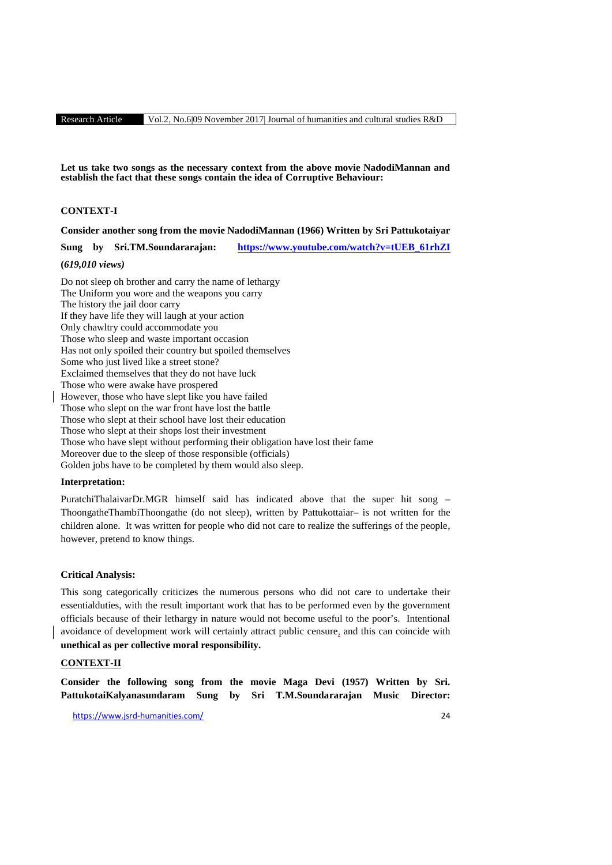**Let us take two songs as the necessary context from the above movie NadodiMannan and establish the fact that these songs contain the idea of Corruptive Behaviour:**

#### **CONTEXT-I**

**Consider another song from the movie NadodiMannan (1966) Written by Sri Pattukotaiyar**

**Sung by Sri.TM.Soundararajan: https://www.youtube.com/watch?v=tUEB\_61rhZI**

#### **(***619,010 views)*

Do not sleep oh brother and carry the name of lethargy The Uniform you wore and the weapons you carry The history the jail door carry If they have life they will laugh at your action Only chawltry could accommodate you Those who sleep and waste important occasion Has not only spoiled their country but spoiled themselves Some who just lived like a street stone? Exclaimed themselves that they do not have luck Those who were awake have prospered However, those who have slept like you have failed Those who slept on the war front have lost the battle Those who slept at their school have lost their education Those who slept at their shops lost their investment Those who have slept without performing their obligation have lost their fame Moreover due to the sleep of those responsible (officials) Golden jobs have to be completed by them would also sleep.

#### **Interpretation:**

PuratchiThalaivarDr.MGR himself said has indicated above that the super hit song – ThoongatheThambiThoongathe (do not sleep), written by Pattukottaiar– is not written for the children alone. It was written for people who did not care to realize the sufferings of the people, however, pretend to know things.

#### **Critical Analysis:**

This song categorically criticizes the numerous persons who did not care to undertake their essentialduties, with the result important work that has to be performed even by the government officials because of their lethargy in nature would not become useful to the poor's. Intentional avoidance of development work will certainly attract public censure, and this can coincide with

**unethical as per collective moral responsibility.**

#### **CONTEXT-II**

**Consider the following song from the movie Maga Devi (1957) Written by Sri. PattukotaiKalyanasundaram Sung by Sri T.M.Soundararajan Music Director:**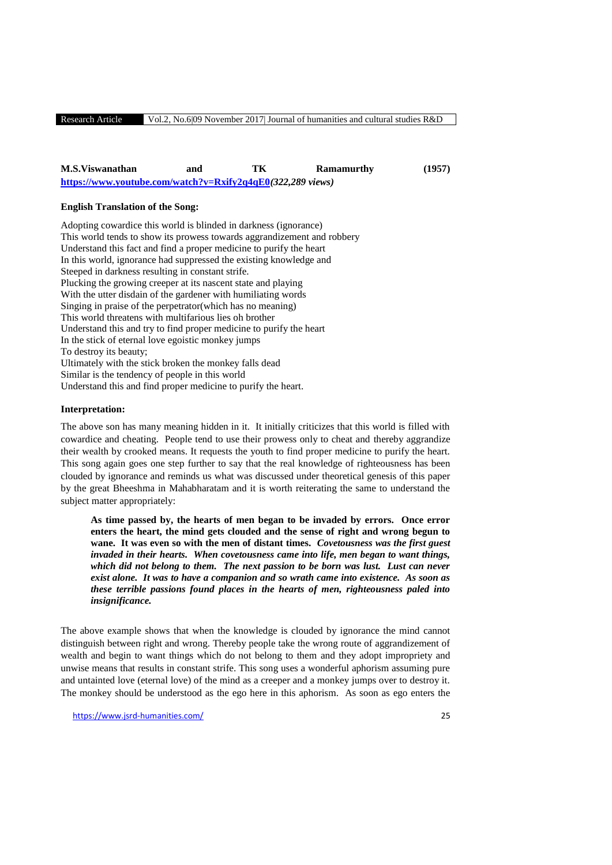# **M.S.Viswanathan and TK Ramamurthy (1957) https://www.youtube.com/watch?v=Rxify2q4qE0***(322,289 views)*

#### **English Translation of the Song:**

Adopting cowardice this world is blinded in darkness (ignorance) This world tends to show its prowess towards aggrandizement and robbery Understand this fact and find a proper medicine to purify the heart In this world, ignorance had suppressed the existing knowledge and Steeped in darkness resulting in constant strife. Plucking the growing creeper at its nascent state and playing With the utter disdain of the gardener with humiliating words Singing in praise of the perpetrator(which has no meaning) This world threatens with multifarious lies oh brother Understand this and try to find proper medicine to purify the heart In the stick of eternal love egoistic monkey jumps To destroy its beauty; Ultimately with the stick broken the monkey falls dead Similar is the tendency of people in this world Understand this and find proper medicine to purify the heart.

#### **Interpretation:**

The above son has many meaning hidden in it. It initially criticizes that this world is filled with cowardice and cheating. People tend to use their prowess only to cheat and thereby aggrandize their wealth by crooked means. It requests the youth to find proper medicine to purify the heart. This song again goes one step further to say that the real knowledge of righteousness has been clouded by ignorance and reminds us what was discussed under theoretical genesis of this paper by the great Bheeshma in Mahabharatam and it is worth reiterating the same to understand the subject matter appropriately:

**As time passed by, the hearts of men began to be invaded by errors. Once error enters the heart, the mind gets clouded and the sense of right and wrong begun to wane. It was even so with the men of distant times.** *Covetousness was the first guest invaded in their hearts. When covetousness came into life, men began to want things, which did not belong to them. The next passion to be born was lust. Lust can never exist alone. It was to have a companion and so wrath came into existence. As soon as these terrible passions found places in the hearts of men, righteousness paled into insignificance.*

The above example shows that when the knowledge is clouded by ignorance the mind cannot distinguish between right and wrong. Thereby people take the wrong route of aggrandizement of wealth and begin to want things which do not belong to them and they adopt impropriety and unwise means that results in constant strife. This song uses a wonderful aphorism assuming pure and untainted love (eternal love) of the mind as a creeper and a monkey jumps over to destroy it. The monkey should be understood as the ego here in this aphorism. As soon as ego enters the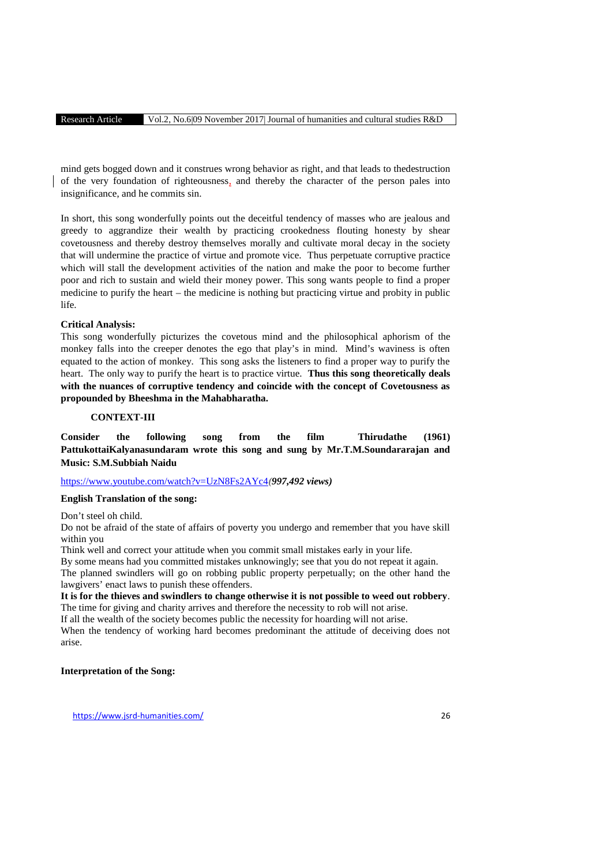mind gets bogged down and it construes wrong behavior as right, and that leads to thedestruction of the very foundation of righteousness, and thereby the character of the person pales into insignificance, and he commits sin.

In short, this song wonderfully points out the deceitful tendency of masses who are jealous and greedy to aggrandize their wealth by practicing crookedness flouting honesty by shear covetousness and thereby destroy themselves morally and cultivate moral decay in the society that will undermine the practice of virtue and promote vice. Thus perpetuate corruptive practice which will stall the development activities of the nation and make the poor to become further poor and rich to sustain and wield their money power. This song wants people to find a proper medicine to purify the heart – the medicine is nothing but practicing virtue and probity in public life.

#### **Critical Analysis:**

This song wonderfully picturizes the covetous mind and the philosophical aphorism of the monkey falls into the creeper denotes the ego that play's in mind. Mind's waviness is often equated to the action of monkey. This song asks the listeners to find a proper way to purify the heart. The only way to purify the heart is to practice virtue. **Thus this song theoretically deals with the nuances of corruptive tendency and coincide with the concept of Covetousness as propounded by Bheeshma in the Mahabharatha.**

#### **CONTEXT-III**

**Consider the following song from the film Thirudathe (1961) PattukottaiKalyanasundaram wrote this song and sung by Mr.T.M.Soundararajan and Music: S.M.Subbiah Naidu**

https://www.youtube.com/watch?v=UzN8Fs2AYc4*(997,492 views)*

#### **English Translation of the song:**

Don't steel oh child.

Do not be afraid of the state of affairs of poverty you undergo and remember that you have skill within you

Think well and correct your attitude when you commit small mistakes early in your life.

By some means had you committed mistakes unknowingly; see that you do not repeat it again. The planned swindlers will go on robbing public property perpetually; on the other hand the lawgivers' enact laws to punish these offenders.

**It is for the thieves and swindlers to change otherwise it is not possible to weed out robbery**. The time for giving and charity arrives and therefore the necessity to rob will not arise.

If all the wealth of the society becomes public the necessity for hoarding will not arise. When the tendency of working hard becomes predominant the attitude of deceiving does not arise.

### **Interpretation of the Song:**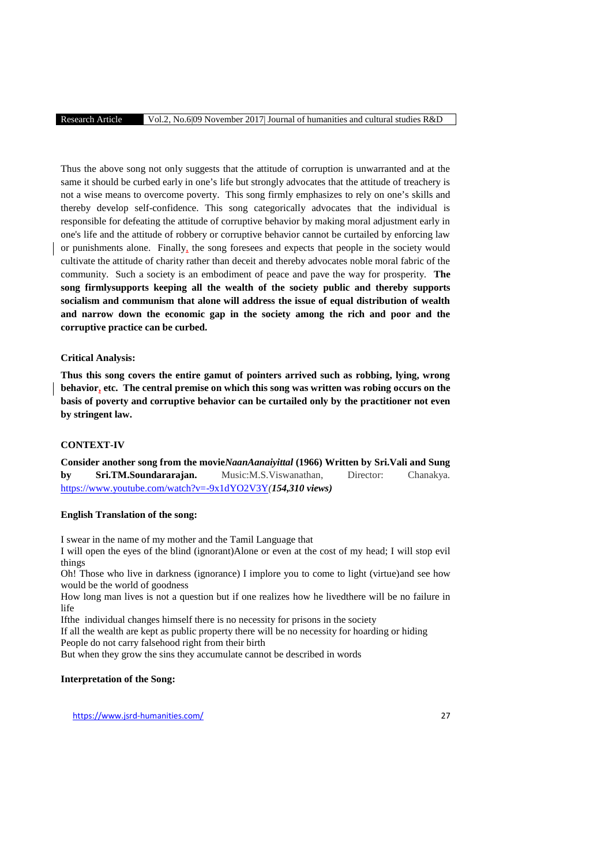Thus the above song not only suggests that the attitude of corruption is unwarranted and at the same it should be curbed early in one's life but strongly advocates that the attitude of treachery is not a wise means to overcome poverty. This song firmly emphasizes to rely on one's skills and thereby develop self-confidence. This song categorically advocates that the individual is responsible for defeating the attitude of corruptive behavior by making moral adjustment early in one's life and the attitude of robbery or corruptive behavior cannot be curtailed by enforcing law or punishments alone. Finally, the song foresees and expects that people in the society would cultivate the attitude of charity rather than deceit and thereby advocates noble moral fabric of the community. Such a society is an embodiment of peace and pave the way for prosperity. **The song firmlysupports keeping all the wealth of the society public and thereby supports socialism and communism that alone will address the issue of equal distribution of wealth and narrow down the economic gap in the society among the rich and poor and the corruptive practice can be curbed.**

#### **Critical Analysis:**

**Thus this song covers the entire gamut of pointers arrived such as robbing, lying, wrong behavior, etc. The central premise on which this song was written was robing occurs on the basis of poverty and corruptive behavior can be curtailed only by the practitioner not even by stringent law.**

# **CONTEXT-IV**

**Consider another song from the movie***NaanAanaiyittal* **(1966) Written by Sri.Vali and Sung by Sri.TM.Soundararajan.** Music:M.S.Viswanathan, Director: Chanakya. https://www.youtube.com/watch?v=-9x1dYO2V3Y*(154,310 views)*

#### **English Translation of the song:**

I swear in the name of my mother and the Tamil Language that

I will open the eyes of the blind (ignorant)Alone or even at the cost of my head; I will stop evil things

Oh! Those who live in darkness (ignorance) I implore you to come to light (virtue)and see how would be the world of goodness

How long man lives is not a question but if one realizes how he livedthere will be no failure in life

Ifthe individual changes himself there is no necessity for prisons in the society

If all the wealth are kept as public property there will be no necessity for hoarding or hiding People do not carry falsehood right from their birth

But when they grow the sins they accumulate cannot be described in words

### **Interpretation of the Song:**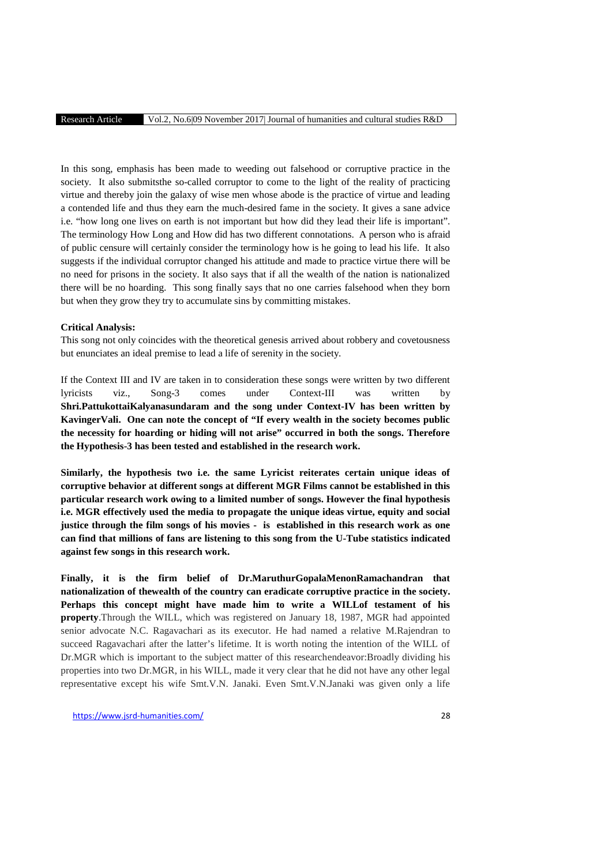In this song, emphasis has been made to weeding out falsehood or corruptive practice in the society. It also submitsthe so-called corruptor to come to the light of the reality of practicing virtue and thereby join the galaxy of wise men whose abode is the practice of virtue and leading a contended life and thus they earn the much-desired fame in the society. It gives a sane advice i.e. "how long one lives on earth is not important but how did they lead their life is important". The terminology How Long and How did has two different connotations. A person who is afraid of public censure will certainly consider the terminology how is he going to lead his life. It also suggests if the individual corruptor changed his attitude and made to practice virtue there will be no need for prisons in the society. It also says that if all the wealth of the nation is nationalized there will be no hoarding. This song finally says that no one carries falsehood when they born but when they grow they try to accumulate sins by committing mistakes.

#### **Critical Analysis:**

This song not only coincides with the theoretical genesis arrived about robbery and covetousness but enunciates an ideal premise to lead a life of serenity in the society.

If the Context III and IV are taken in to consideration these songs were written by two different lyricists viz., Song-3 comes under Context-III was written by **Shri.PattukottaiKalyanasundaram and the song under Context-IV has been written by KavingerVali. One can note the concept of "If every wealth in the society becomes public the necessity for hoarding or hiding will not arise" occurred in both the songs. Therefore the Hypothesis-3 has been tested and established in the research work.**

**Similarly, the hypothesis two i.e. the same Lyricist reiterates certain unique ideas of corruptive behavior at different songs at different MGR Films cannot be established in this particular research work owing to a limited number of songs. However the final hypothesis i.e. MGR effectively used the media to propagate the unique ideas virtue, equity and social justice through the film songs of his movies - is established in this research work as one can find that millions of fans are listening to this song from the U-Tube statistics indicated against few songs in this research work.**

**Finally, it is the firm belief of Dr.MaruthurGopalaMenonRamachandran that nationalization of thewealth of the country can eradicate corruptive practice in the society. Perhaps this concept might have made him to write a WILLof testament of his property**.Through the WILL, which was registered on January 18, 1987, MGR had appointed senior advocate N.C. Ragavachari as its executor. He had named a relative M.Rajendran to succeed Ragavachari after the latter's lifetime. It is worth noting the intention of the WILL of Dr.MGR which is important to the subject matter of this researchendeavor:Broadly dividing his properties into two Dr.MGR, in his WILL, made it very clear that he did not have any other legal representative except his wife Smt.V.N. Janaki. Even Smt.V.N.Janaki was given only a life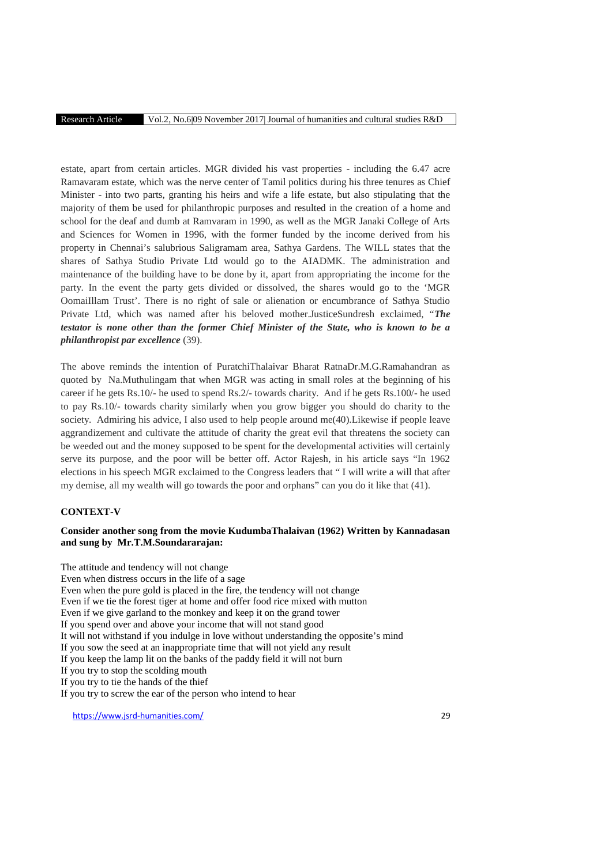estate, apart from certain articles. MGR divided his vast properties - including the 6.47 acre Ramavaram estate, which was the nerve center of Tamil politics during his three tenures as Chief Minister - into two parts, granting his heirs and wife a life estate, but also stipulating that the majority of them be used for philanthropic purposes and resulted in the creation of a home and school for the deaf and dumb at Ramvaram in 1990, as well as the MGR Janaki College of Arts and Sciences for Women in 1996, with the former funded by the income derived from his property in Chennai's salubrious Saligramam area, Sathya Gardens. The WILL states that the shares of Sathya Studio Private Ltd would go to the AIADMK. The administration and maintenance of the building have to be done by it, apart from appropriating the income for the party. In the event the party gets divided or dissolved, the shares would go to the 'MGR OomaiIllam Trust'. There is no right of sale or alienation or encumbrance of Sathya Studio Private Ltd, which was named after his beloved mother.JusticeSundresh exclaimed, "*The testator is none other than the former Chief Minister of the State, who is known to be a philanthropist par excellence* (39).

The above reminds the intention of PuratchiThalaivar Bharat RatnaDr.M.G.Ramahandran as quoted by Na.Muthulingam that when MGR was acting in small roles at the beginning of his career if he gets Rs.10/- he used to spend Rs.2/- towards charity. And if he gets Rs.100/- he used to pay Rs.10/- towards charity similarly when you grow bigger you should do charity to the society. Admiring his advice, I also used to help people around me(40).Likewise if people leave aggrandizement and cultivate the attitude of charity the great evil that threatens the society can be weeded out and the money supposed to be spent for the developmental activities will certainly serve its purpose, and the poor will be better off. Actor Rajesh, in his article says "In 1962 elections in his speech MGR exclaimed to the Congress leaders that " I will write a will that after my demise, all my wealth will go towards the poor and orphans" can you do it like that (41).

# **CONTEXT-V**

# **Consider another song from the movie KudumbaThalaivan (1962) Written by Kannadasan and sung by Mr.T.M.Soundararajan:**

The attitude and tendency will not change Even when distress occurs in the life of a sage Even when the pure gold is placed in the fire, the tendency will not change Even if we tie the forest tiger at home and offer food rice mixed with mutton Even if we give garland to the monkey and keep it on the grand tower If you spend over and above your income that will not stand good It will not withstand if you indulge in love without understanding the opposite's mind If you sow the seed at an inappropriate time that will not yield any result If you keep the lamp lit on the banks of the paddy field it will not burn If you try to stop the scolding mouth If you try to tie the hands of the thief If you try to screw the ear of the person who intend to hear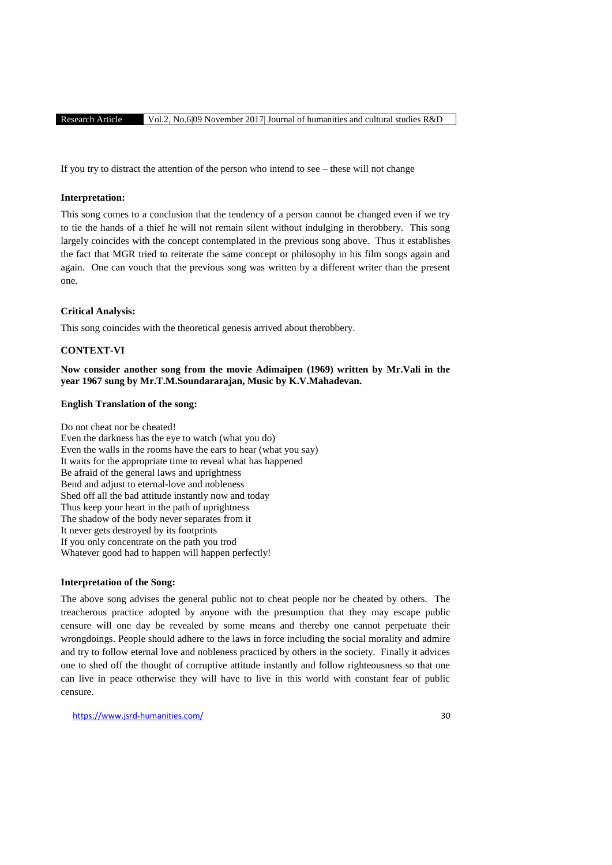If you try to distract the attention of the person who intend to see – these will not change

### **Interpretation:**

This song comes to a conclusion that the tendency of a person cannot be changed even if we try to tie the hands of a thief he will not remain silent without indulging in therobbery. This song largely coincides with the concept contemplated in the previous song above. Thus it establishes the fact that MGR tried to reiterate the same concept or philosophy in his film songs again and again. One can vouch that the previous song was written by a different writer than the present one.

#### **Critical Analysis:**

This song coincides with the theoretical genesis arrived about therobbery.

# **CONTEXT-VI**

**Now consider another song from the movie Adimaipen (1969) written by Mr.Vali in the year 1967 sung by Mr.T.M.Soundararajan, Music by K.V.Mahadevan.**

#### **English Translation of the song:**

Do not cheat nor be cheated! Even the darkness has the eye to watch (what you do) Even the walls in the rooms have the ears to hear (what you say) It waits for the appropriate time to reveal what has happened Be afraid of the general laws and uprightness Bend and adjust to eternal-love and nobleness Shed off all the bad attitude instantly now and today Thus keep your heart in the path of uprightness The shadow of the body never separates from it It never gets destroyed by its footprints If you only concentrate on the path you trod Whatever good had to happen will happen perfectly!

#### **Interpretation of the Song:**

The above song advises the general public not to cheat people nor be cheated by others. The treacherous practice adopted by anyone with the presumption that they may escape public censure will one day be revealed by some means and thereby one cannot perpetuate their wrongdoings. People should adhere to the laws in force including the social morality and admire and try to follow eternal love and nobleness practiced by others in the society. Finally it advices one to shed off the thought of corruptive attitude instantly and follow righteousness so that one can live in peace otherwise they will have to live in this world with constant fear of public censure.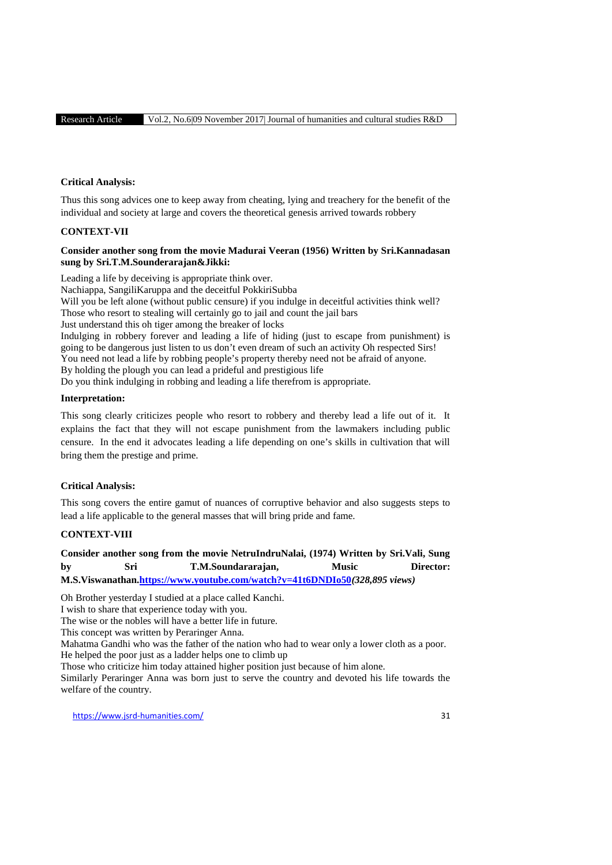#### **Critical Analysis:**

Thus this song advices one to keep away from cheating, lying and treachery for the benefit of the individual and society at large and covers the theoretical genesis arrived towards robbery

# **CONTEXT-VII**

### **Consider another song from the movie Madurai Veeran (1956) Written by Sri.Kannadasan sung by Sri.T.M.Sounderarajan&Jikki:**

Leading a life by deceiving is appropriate think over. Nachiappa, SangiliKaruppa and the deceitful PokkiriSubba Will you be left alone (without public censure) if you indulge in deceitful activities think well? Those who resort to stealing will certainly go to jail and count the jail bars Just understand this oh tiger among the breaker of locks Indulging in robbery forever and leading a life of hiding (just to escape from punishment) is going to be dangerous just listen to us don't even dream of such an activity Oh respected Sirs! You need not lead a life by robbing people's property thereby need not be afraid of anyone. By holding the plough you can lead a prideful and prestigious life Do you think indulging in robbing and leading a life therefrom is appropriate.

# **Interpretation:**

This song clearly criticizes people who resort to robbery and thereby lead a life out of it. It explains the fact that they will not escape punishment from the lawmakers including public censure. In the end it advocates leading a life depending on one's skills in cultivation that will bring them the prestige and prime.

#### **Critical Analysis:**

This song covers the entire gamut of nuances of corruptive behavior and also suggests steps to lead a life applicable to the general masses that will bring pride and fame.

# **CONTEXT-VIII**

**Consider another song from the movie NetruIndruNalai, (1974) Written by Sri.Vali, Sung by Sri T.M.Soundararajan, Music Director: M.S.Viswanathan.https://www.youtube.com/watch?v=41t6DNDIo50***(328,895 views)*

Oh Brother yesterday I studied at a place called Kanchi.

I wish to share that experience today with you.

The wise or the nobles will have a better life in future.

This concept was written by Peraringer Anna.

Mahatma Gandhi who was the father of the nation who had to wear only a lower cloth as a poor. He helped the poor just as a ladder helps one to climb up

Those who criticize him today attained higher position just because of him alone.

Similarly Peraringer Anna was born just to serve the country and devoted his life towards the welfare of the country.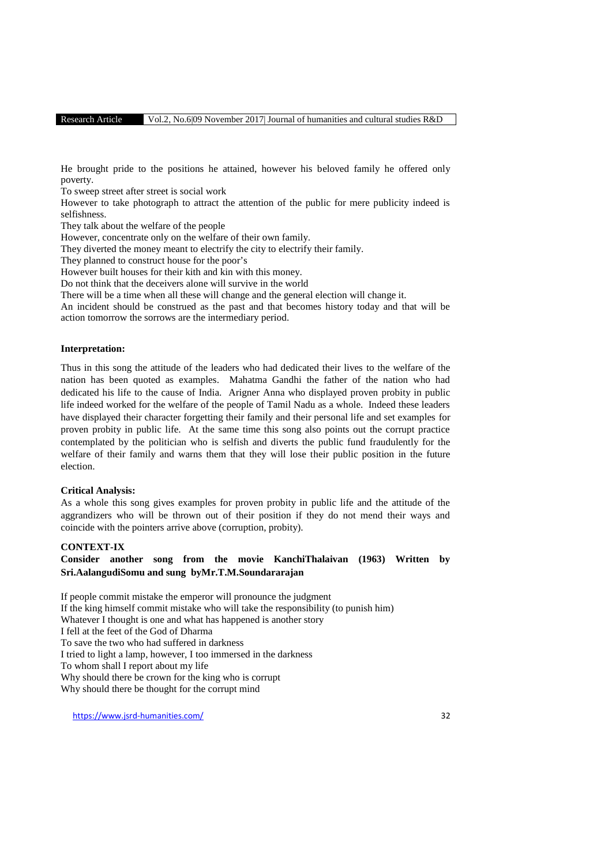He brought pride to the positions he attained, however his beloved family he offered only poverty.

To sweep street after street is social work

However to take photograph to attract the attention of the public for mere publicity indeed is selfishness.

They talk about the welfare of the people

However, concentrate only on the welfare of their own family.

They diverted the money meant to electrify the city to electrify their family.

They planned to construct house for the poor's

However built houses for their kith and kin with this money.

Do not think that the deceivers alone will survive in the world

There will be a time when all these will change and the general election will change it.

An incident should be construed as the past and that becomes history today and that will be action tomorrow the sorrows are the intermediary period.

#### **Interpretation:**

Thus in this song the attitude of the leaders who had dedicated their lives to the welfare of the nation has been quoted as examples. Mahatma Gandhi the father of the nation who had dedicated his life to the cause of India. Arigner Anna who displayed proven probity in public life indeed worked for the welfare of the people of Tamil Nadu as a whole. Indeed these leaders have displayed their character forgetting their family and their personal life and set examples for proven probity in public life. At the same time this song also points out the corrupt practice contemplated by the politician who is selfish and diverts the public fund fraudulently for the welfare of their family and warns them that they will lose their public position in the future election.

#### **Critical Analysis:**

As a whole this song gives examples for proven probity in public life and the attitude of the aggrandizers who will be thrown out of their position if they do not mend their ways and coincide with the pointers arrive above (corruption, probity).

# **CONTEXT-IX**

# **Consider another song from the movie KanchiThalaivan (1963) Written by Sri.AalangudiSomu and sung byMr.T.M.Soundararajan**

If people commit mistake the emperor will pronounce the judgment If the king himself commit mistake who will take the responsibility (to punish him) Whatever I thought is one and what has happened is another story I fell at the feet of the God of Dharma To save the two who had suffered in darkness I tried to light a lamp, however, I too immersed in the darkness To whom shall I report about my life Why should there be crown for the king who is corrupt Why should there be thought for the corrupt mind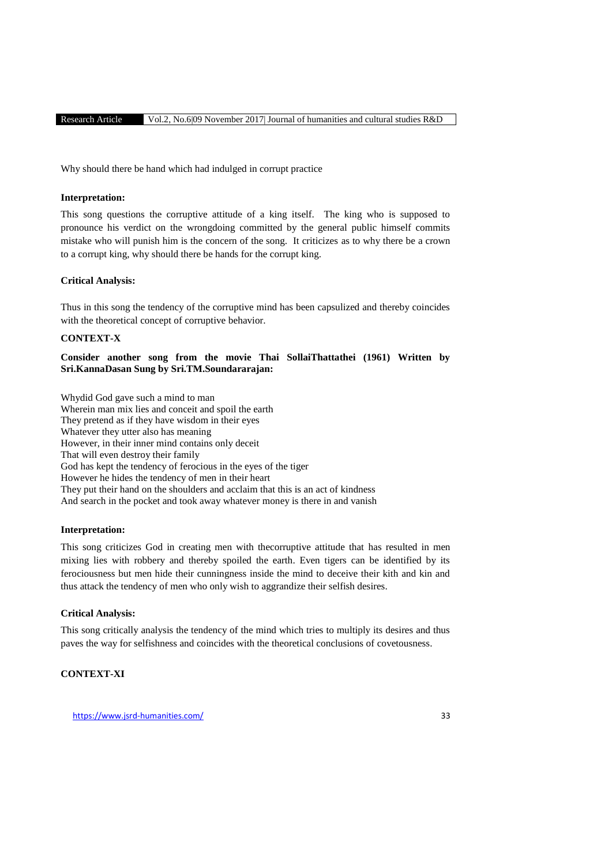Why should there be hand which had indulged in corrupt practice

#### **Interpretation:**

This song questions the corruptive attitude of a king itself. The king who is supposed to pronounce his verdict on the wrongdoing committed by the general public himself commits mistake who will punish him is the concern of the song. It criticizes as to why there be a crown to a corrupt king, why should there be hands for the corrupt king.

#### **Critical Analysis:**

Thus in this song the tendency of the corruptive mind has been capsulized and thereby coincides with the theoretical concept of corruptive behavior.

# **CONTEXT-X**

**Consider another song from the movie Thai SollaiThattathei (1961) Written by Sri.KannaDasan Sung by Sri.TM.Soundararajan:**

Whydid God gave such a mind to man Wherein man mix lies and conceit and spoil the earth They pretend as if they have wisdom in their eyes Whatever they utter also has meaning However, in their inner mind contains only deceit That will even destroy their family God has kept the tendency of ferocious in the eyes of the tiger However he hides the tendency of men in their heart They put their hand on the shoulders and acclaim that this is an act of kindness And search in the pocket and took away whatever money is there in and vanish

#### **Interpretation:**

This song criticizes God in creating men with thecorruptive attitude that has resulted in men mixing lies with robbery and thereby spoiled the earth. Even tigers can be identified by its ferociousness but men hide their cunningness inside the mind to deceive their kith and kin and thus attack the tendency of men who only wish to aggrandize their selfish desires.

#### **Critical Analysis:**

This song critically analysis the tendency of the mind which tries to multiply its desires and thus paves the way for selfishness and coincides with the theoretical conclusions of covetousness.

# **CONTEXT-XI**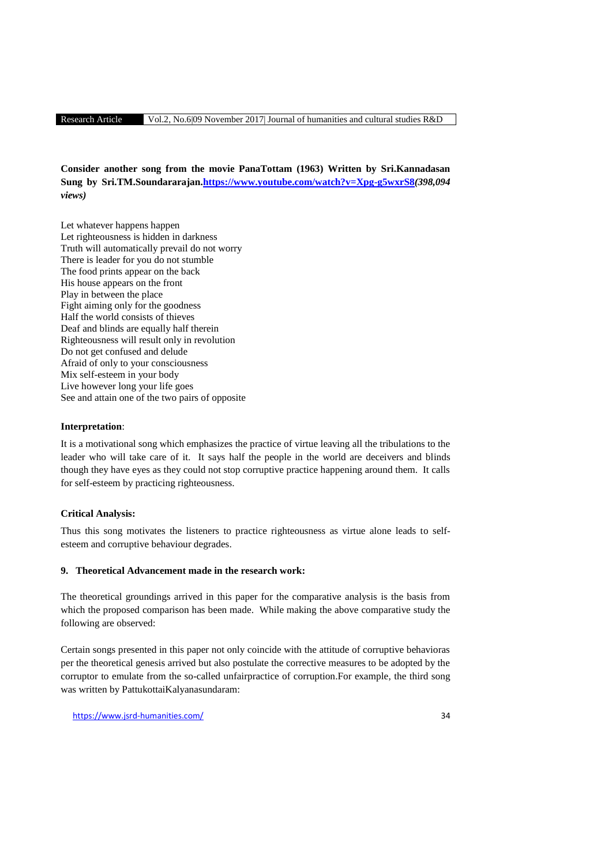**Consider another song from the movie PanaTottam (1963) Written by Sri.Kannadasan Sung by Sri.TM.Soundararajan.https://www.youtube.com/watch?v=Xpg-g5wxrS8***(398,094 views)*

Let whatever happens happen Let righteousness is hidden in darkness Truth will automatically prevail do not worry There is leader for you do not stumble The food prints appear on the back His house appears on the front Play in between the place Fight aiming only for the goodness Half the world consists of thieves Deaf and blinds are equally half therein Righteousness will result only in revolution Do not get confused and delude Afraid of only to your consciousness Mix self-esteem in your body Live however long your life goes See and attain one of the two pairs of opposite

#### **Interpretation**:

It is a motivational song which emphasizes the practice of virtue leaving all the tribulations to the leader who will take care of it. It says half the people in the world are deceivers and blinds though they have eyes as they could not stop corruptive practice happening around them. It calls for self-esteem by practicing righteousness.

#### **Critical Analysis:**

Thus this song motivates the listeners to practice righteousness as virtue alone leads to self esteem and corruptive behaviour degrades.

#### **9. Theoretical Advancement made in the research work:**

The theoretical groundings arrived in this paper for the comparative analysis is the basis from which the proposed comparison has been made. While making the above comparative study the following are observed:

Certain songs presented in this paper not only coincide with the attitude of corruptive behavioras per the theoretical genesis arrived but also postulate the corrective measures to be adopted by the corruptor to emulate from the so-called unfairpractice of corruption.For example, the third song was written by PattukottaiKalyanasundaram: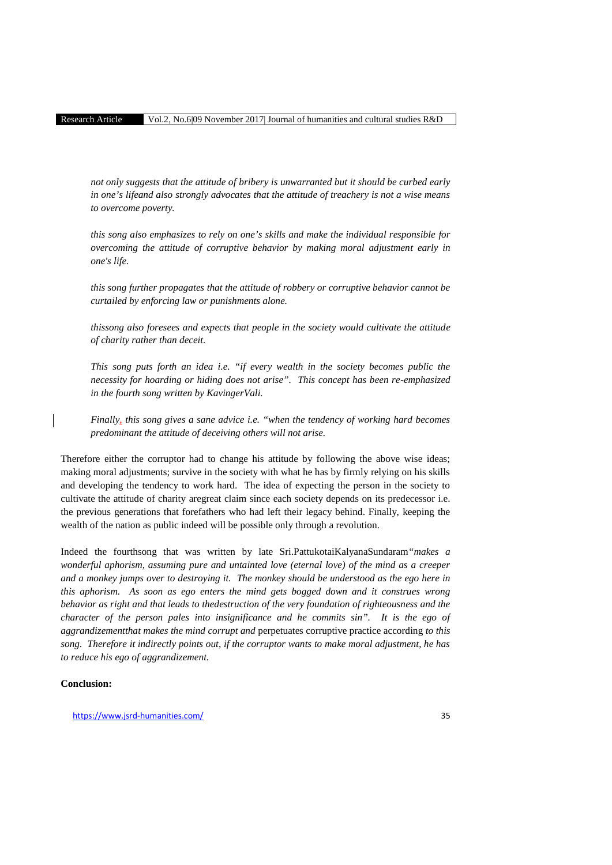*not only suggests that the attitude of bribery is unwarranted but it should be curbed early in one's lifeand also strongly advocates that the attitude of treachery is not a wise means to overcome poverty.*

*this song also emphasizes to rely on one's skills and make the individual responsible for overcoming the attitude of corruptive behavior by making moral adjustment early in one's life.*

*this song further propagates that the attitude of robbery or corruptive behavior cannot be curtailed by enforcing law or punishments alone.*

*thissong also foresees and expects that people in the society would cultivate the attitude of charity rather than deceit.*

*This song puts forth an idea i.e. "if every wealth in the society becomes public the necessity for hoarding or hiding does not arise". This concept has been re-emphasized in the fourth song written by KavingerVali.*

*Finally, this song gives a sane advice i.e. "when the tendency of working hard becomes predominant the attitude of deceiving others will not arise.*

Therefore either the corruptor had to change his attitude by following the above wise ideas; making moral adjustments; survive in the society with what he has by firmly relying on his skills and developing the tendency to work hard. The idea of expecting the person in the society to cultivate the attitude of charity aregreat claim since each society depends on its predecessor i.e. the previous generations that forefathers who had left their legacy behind. Finally, keeping the wealth of the nation as public indeed will be possible only through a revolution.

Indeed the fourthsong that was written by late Sri.PattukotaiKalyanaSundaram*"makes a wonderful aphorism, assuming pure and untainted love (eternal love) of the mind as a creeper and a monkey jumps over to destroying it. The monkey should be understood as the ego here in this aphorism. As soon as ego enters the mind gets bogged down and it construes wrong behavior as right and that leads to thedestruction of the very foundation of righteousness and the character of the person pales into insignificance and he commits sin". It is the ego of aggrandizementthat makes the mind corrupt and* perpetuates corruptive practice according *to this song. Therefore it indirectly points out, if the corruptor wants to make moral adjustment, he has to reduce his ego of aggrandizement.*

### **Conclusion:**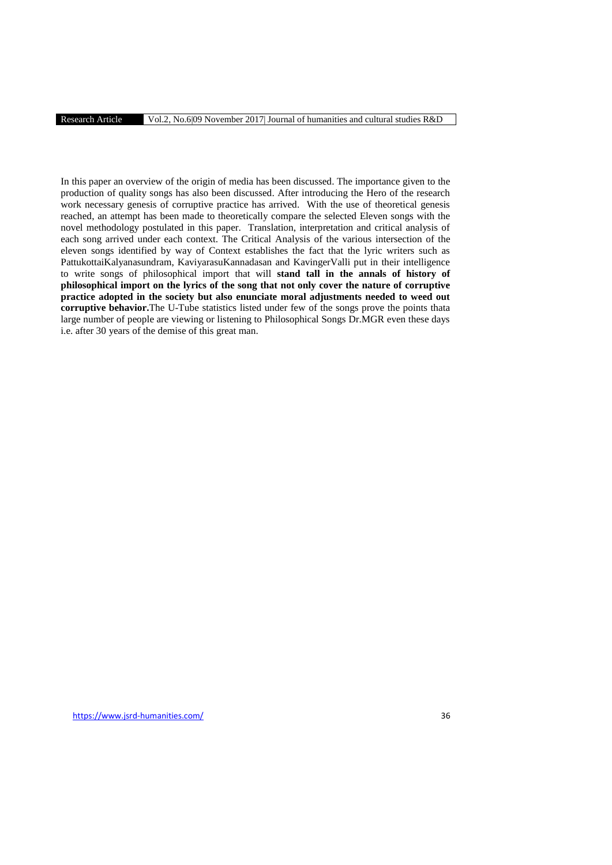In this paper an overview of the origin of media has been discussed. The importance given to the production of quality songs has also been discussed. After introducing the Hero of the research work necessary genesis of corruptive practice has arrived. With the use of theoretical genesis reached, an attempt has been made to theoretically compare the selected Eleven songs with the novel methodology postulated in this paper. Translation, interpretation and critical analysis of each song arrived under each context. The Critical Analysis of the various intersection of the eleven songs identified by way of Context establishes the fact that the lyric writers such as PattukottaiKalyanasundram, KaviyarasuKannadasan and KavingerValli put in their intelligence to write songs of philosophical import that will **stand tall in the annals of history of philosophical import on the lyrics of the song that not only cover the nature of corruptive practice adopted in the society but also enunciate moral adjustments needed to weed out corruptive behavior.**The U-Tube statistics listed under few of the songs prove the points thata large number of people are viewing or listening to Philosophical Songs Dr.MGR even these days i.e. after 30 years of the demise of this great man.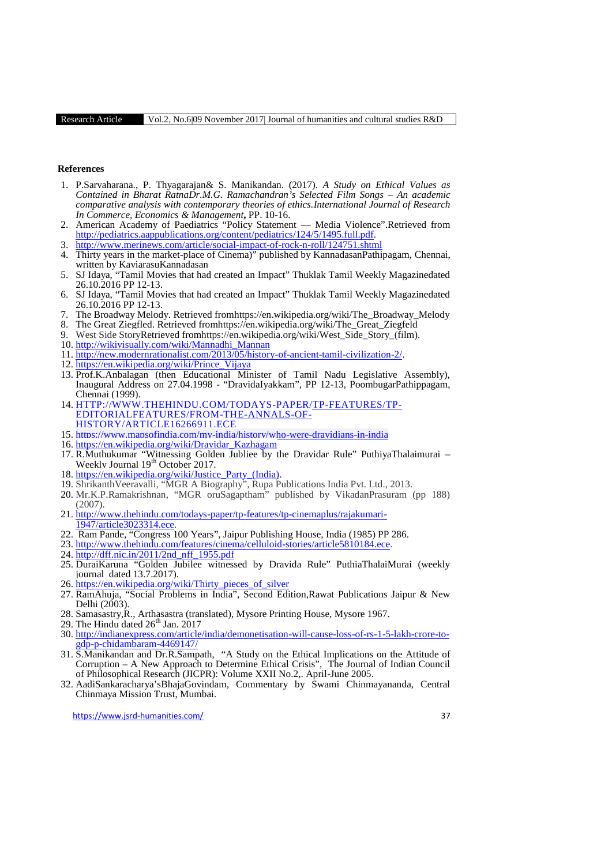#### **References**

- 1. P.Sarvaharana., P. Thyagarajan& S. Manikandan. (2017). *A Study on Ethical Values as Contained in Bharat RatnaDr.M.G. Ramachandran's Selected Film Songs – An academic comparative analysis with contemporary theories of ethics.International Journal of Research In Commerce, Economics & Management***,** PP. 10-16.
- 2. American Academy of Paediatrics "Policy Statement Media Violence".Retrieved from http://pediatrics.aappublications.org/content/pediatrics/124/5/1495.full.pdf. 3. http://www.merinews.com/article/social-impact-of-rock-n-roll/124751.shtml
- 
- 4. Thirty years in the market-place of Cinema)" published by KannadasanPathipagam, Chennai, written by KaviarasuKannadasan
- 5. SJ Idaya, "Tamil Movies that had created an Impact" Thuklak Tamil Weekly Magazinedated 26.10.2016 PP 12-13.
- 6. SJ Idaya, "Tamil Movies that had created an Impact" Thuklak Tamil Weekly Magazinedated 26.10.2016 PP 12-13.
- 7. The Broadway Melody. Retrieved fromhttps://en.wikipedia.org/wiki/The\_Broadway\_Melody
- 8. The Great Ziegfled. Retrieved from the end wikipedia.org/wiki/The Great Ziegfeld<br>9. West Side Story Retrieved from https://en.wikipedia.org/wiki/West Side Story (film)
- West Side StoryRetrieved fromhttps://en.wikipedia.org/wiki/West\_Side\_Story\_(film).
- 10. http://wikivisually.com/wiki/Mannadhi\_Mannan
- 11. http://new.modernrationalist.com/2013/05/history-of-ancient-tamil-civilization-2/. 12. https://en.wikipedia.org/wiki/Prince\_Vijaya
- 
- 13. Prof.K.Anbalagan (then Educational Minister of Tamil Nadu Legislative Assembly), Inaugural Address on 27.04.1998 - "DravidaIyakkam", PP 12-13, PoombugarPathippagam, Chennai (1999).
- 14. HTTP://WWW.THEHINDU.COM/TODAYS-PAPER/<u>TP-FEATURES/TP-</u><br>EDITORIALFEATURES/FROM-THE-ANNALS-OF-<br>HISTORY/ARTICLE16266911.ECE
- 15. https://www.mapsofindia.com/my-india/history/who-were-dravidians-in-india
- 16. https://en.wikipedia.org/wiki/Dravidar\_Kazhagam
- 17. R.Muthukumar "Witnessing Golden Jubliee by the Dravidar Rule" PuthiyaThalaimurai Weekly Journal 19<sup>th</sup> October 2017.
- 
- 18. <u>https://en.wikipedia.org/wiki/Justice\_Party\_(India)</u>.<br>19. ShrikanthVeeravalli, "MGR A Biography", Rupa Publications India Pvt. Ltd., 2013.
- 20. Mr.K.P.Ramakrishnan, "MGR oruSagaptham" published by VikadanPrasuram (pp 188)  $(2007)$ .<br>21. http://www.thehindu.com/todays-paper/tp-features/tp-cinemaplus/rajakumari-
- 22. Ram Pande, "Congress 100 Years", Jaipur Publishing House, India (1985) PP 286.<br>23. http://www.thehindu.com/features/cinema/celluloid-stories/article5810184.ece.
- 
- 23. <u>http://www.thehindu.com/features/cinema/celluloid-stories/article5810184.ece</u>.<br>24. <u>http://dff.nic.in/2011/2nd\_nff\_1955.pdf</u>
- 
- 25. DuraiKaruna "Golden Jubilee witnessed by Dravida Rule" PuthiaThalaiMurai (weekly journal dated 13.7.2017).
- 26. https://en.wikipedia.org/wiki/Thirty\_pieces\_of\_silver
- 27. RamAhuja, "Social Problems in India", Second Edition,Rawat Publications Jaipur & New Delhi (2003).
- 28. Samasastry,R., Arthasastra (translated), Mysore Printing House, Mysore 1967.
- 29. The Hindu dated  $26<sup>th</sup>$  Jan. 2017
- 30. http://indianexpress.com/article/india/demonetisation-will-cause-loss-of-rs-1-5-lakh-crore-to- gdp-p-chidambaram-4469147/
- 31. S.Manikandan and Dr.R.Sampath, "A Study on the Ethical Implications on the Attitude of Corruption – A New Approach to Determine Ethical Crisis", The Journal of Indian Council of Philosophical Research (JICPR): Volume XXII No.2,. April-June 2005.
- 32. AadiSankaracharya'sBhajaGovindam, Commentary by Swami Chinmayananda, Central Chinmaya Mission Trust, Mumbai.